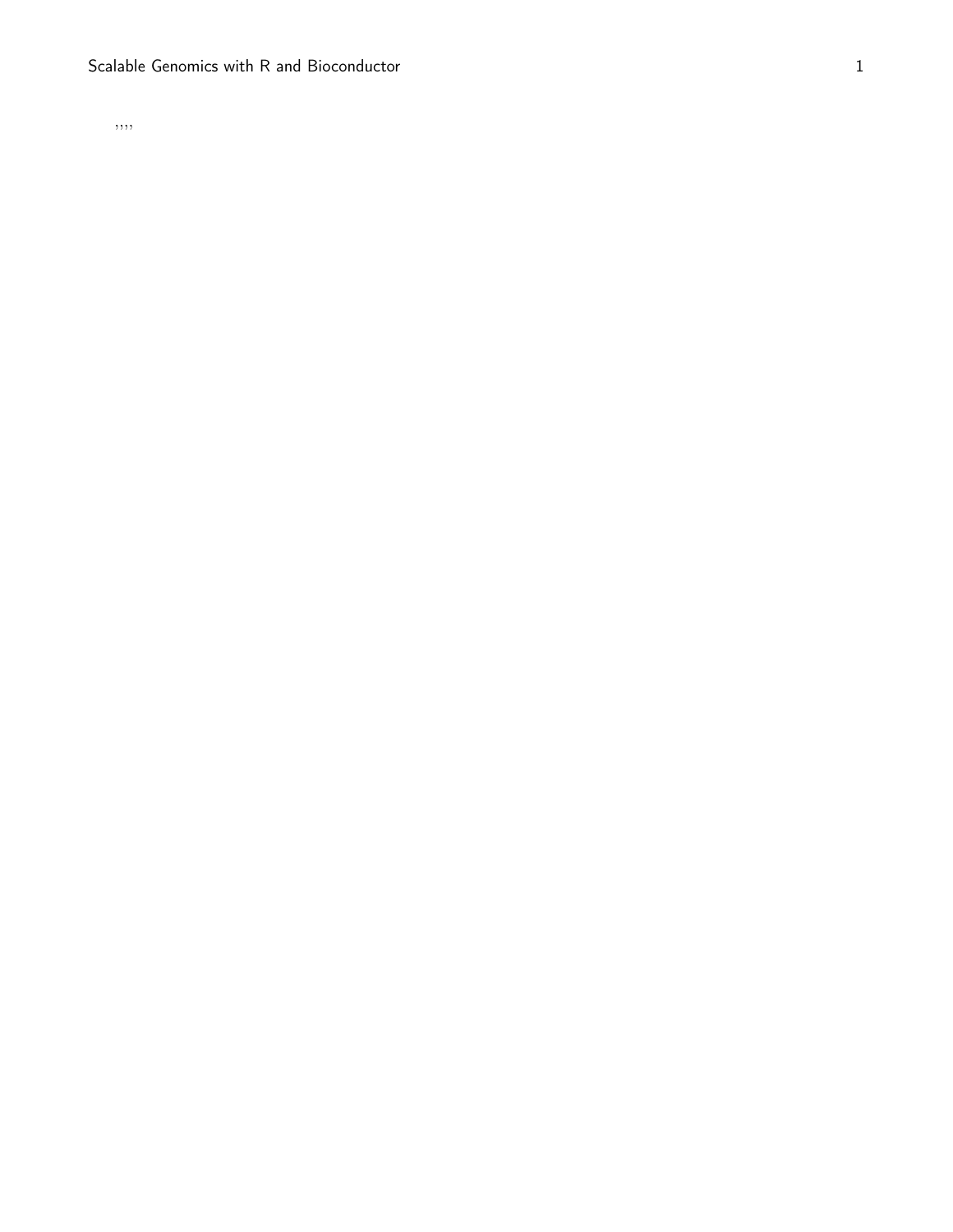,,,,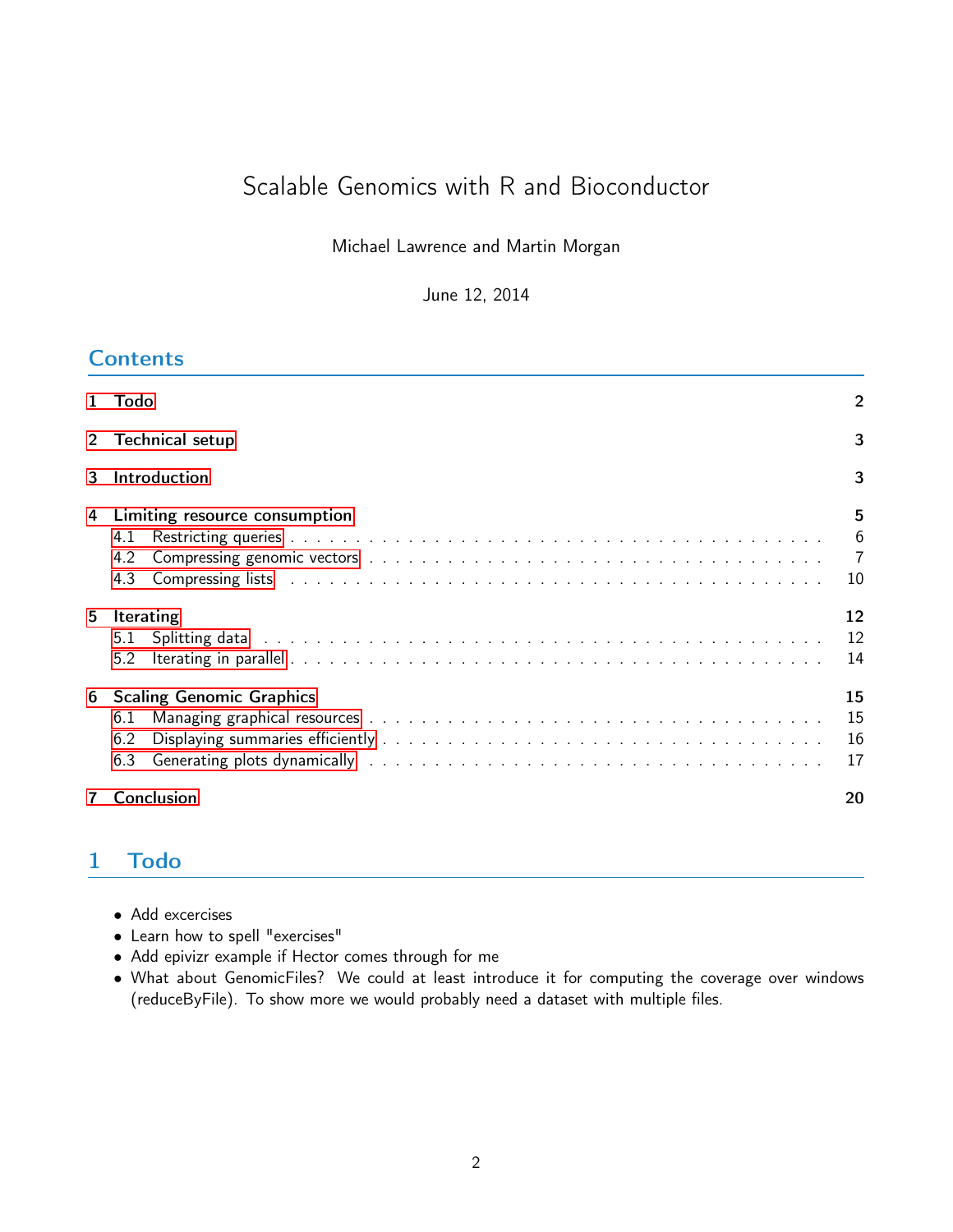# Scalable Genomics with R and Bioconductor

Michael Lawrence and Martin Morgan

June 12, 2014

# **Contents**

|    | 1 Todo                                                                                                                                           | 2                              |  |  |
|----|--------------------------------------------------------------------------------------------------------------------------------------------------|--------------------------------|--|--|
|    | 3<br>2 Technical setup                                                                                                                           |                                |  |  |
| 3  | Introduction                                                                                                                                     |                                |  |  |
|    | 4 Limiting resource consumption<br>4.1<br>4.2<br>4.3                                                                                             | 5<br>6<br>$\overline{7}$<br>10 |  |  |
| 5. | <b>Iterating</b><br>Splitting data research and contact the contract of the contact of the splitting data research and contact the<br>5.1<br>5.2 | 12<br>12<br>14                 |  |  |
| 6  | <b>Scaling Genomic Graphics</b><br>6.1<br>6.2<br>6.3                                                                                             | 15<br>15<br>16<br>17           |  |  |
|    | Conclusion                                                                                                                                       | 20                             |  |  |

# <span id="page-1-0"></span>1 Todo

- Add excercises
- Learn how to spell "exercises"
- Add epivizr example if Hector comes through for me
- <span id="page-1-1"></span>• What about GenomicFiles? We could at least introduce it for computing the coverage over windows (reduceByFile). To show more we would probably need a dataset with multiple files.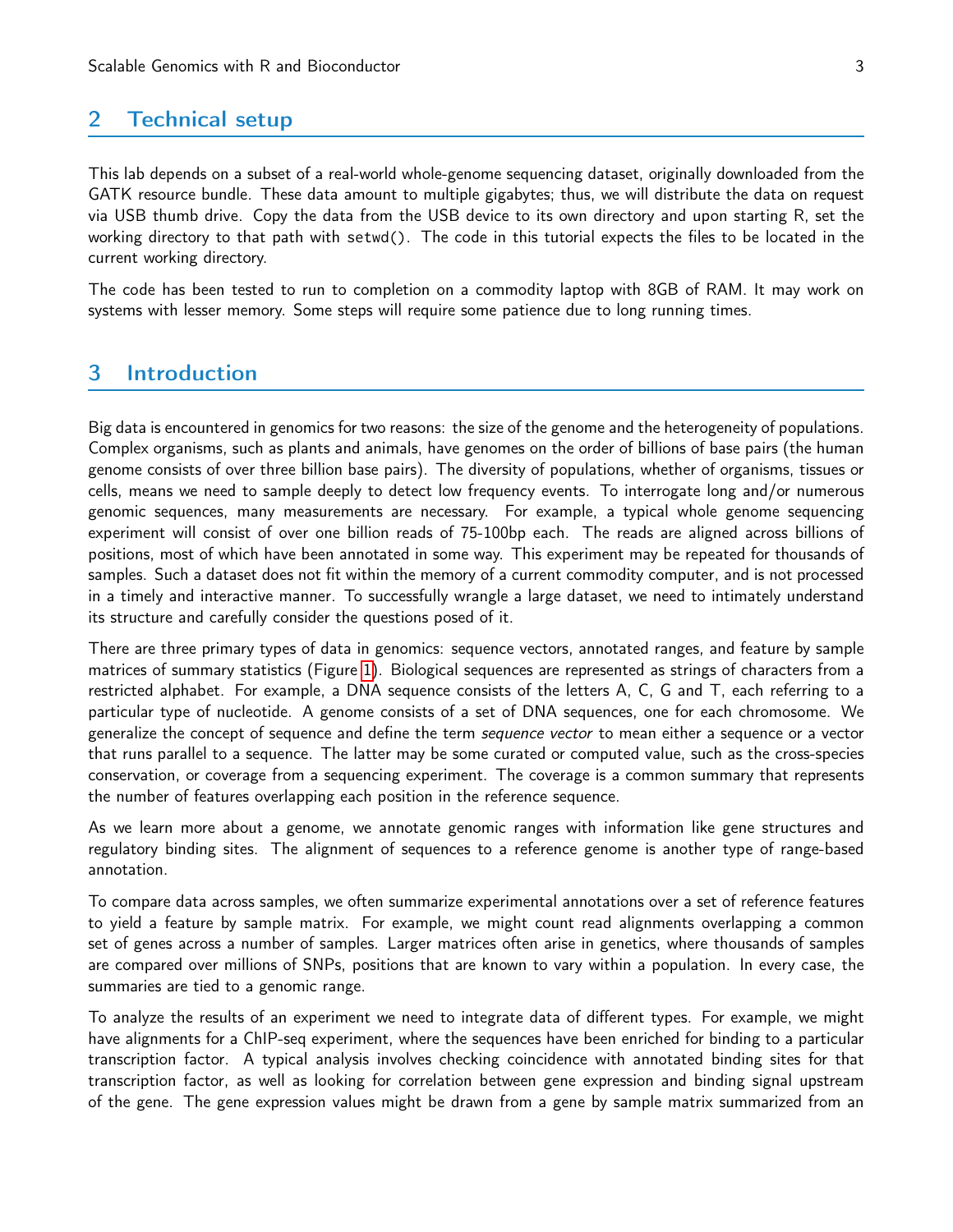### 2 Technical setup

This lab depends on a subset of a real-world whole-genome sequencing dataset, originally downloaded from the GATK resource bundle. These data amount to multiple gigabytes; thus, we will distribute the data on request via USB thumb drive. Copy the data from the USB device to its own directory and upon starting R, set the working directory to that path with setwd(). The code in this tutorial expects the files to be located in the current working directory.

The code has been tested to run to completion on a commodity laptop with 8GB of RAM. It may work on systems with lesser memory. Some steps will require some patience due to long running times.

### <span id="page-2-0"></span>3 Introduction

Big data is encountered in genomics for two reasons: the size of the genome and the heterogeneity of populations. Complex organisms, such as plants and animals, have genomes on the order of billions of base pairs (the human genome consists of over three billion base pairs). The diversity of populations, whether of organisms, tissues or cells, means we need to sample deeply to detect low frequency events. To interrogate long and/or numerous genomic sequences, many measurements are necessary. For example, a typical whole genome sequencing experiment will consist of over one billion reads of 75-100bp each. The reads are aligned across billions of positions, most of which have been annotated in some way. This experiment may be repeated for thousands of samples. Such a dataset does not fit within the memory of a current commodity computer, and is not processed in a timely and interactive manner. To successfully wrangle a large dataset, we need to intimately understand its structure and carefully consider the questions posed of it.

There are three primary types of data in genomics: sequence vectors, annotated ranges, and feature by sample matrices of summary statistics (Figure [1\)](#page-3-0). Biological sequences are represented as strings of characters from a restricted alphabet. For example, a DNA sequence consists of the letters A, C, G and T, each referring to a particular type of nucleotide. A genome consists of a set of DNA sequences, one for each chromosome. We generalize the concept of sequence and define the term sequence vector to mean either a sequence or a vector that runs parallel to a sequence. The latter may be some curated or computed value, such as the cross-species conservation, or coverage from a sequencing experiment. The coverage is a common summary that represents the number of features overlapping each position in the reference sequence.

As we learn more about a genome, we annotate genomic ranges with information like gene structures and regulatory binding sites. The alignment of sequences to a reference genome is another type of range-based annotation.

To compare data across samples, we often summarize experimental annotations over a set of reference features to yield a feature by sample matrix. For example, we might count read alignments overlapping a common set of genes across a number of samples. Larger matrices often arise in genetics, where thousands of samples are compared over millions of SNPs, positions that are known to vary within a population. In every case, the summaries are tied to a genomic range.

To analyze the results of an experiment we need to integrate data of different types. For example, we might have alignments for a ChIP-seq experiment, where the sequences have been enriched for binding to a particular transcription factor. A typical analysis involves checking coincidence with annotated binding sites for that transcription factor, as well as looking for correlation between gene expression and binding signal upstream of the gene. The gene expression values might be drawn from a gene by sample matrix summarized from an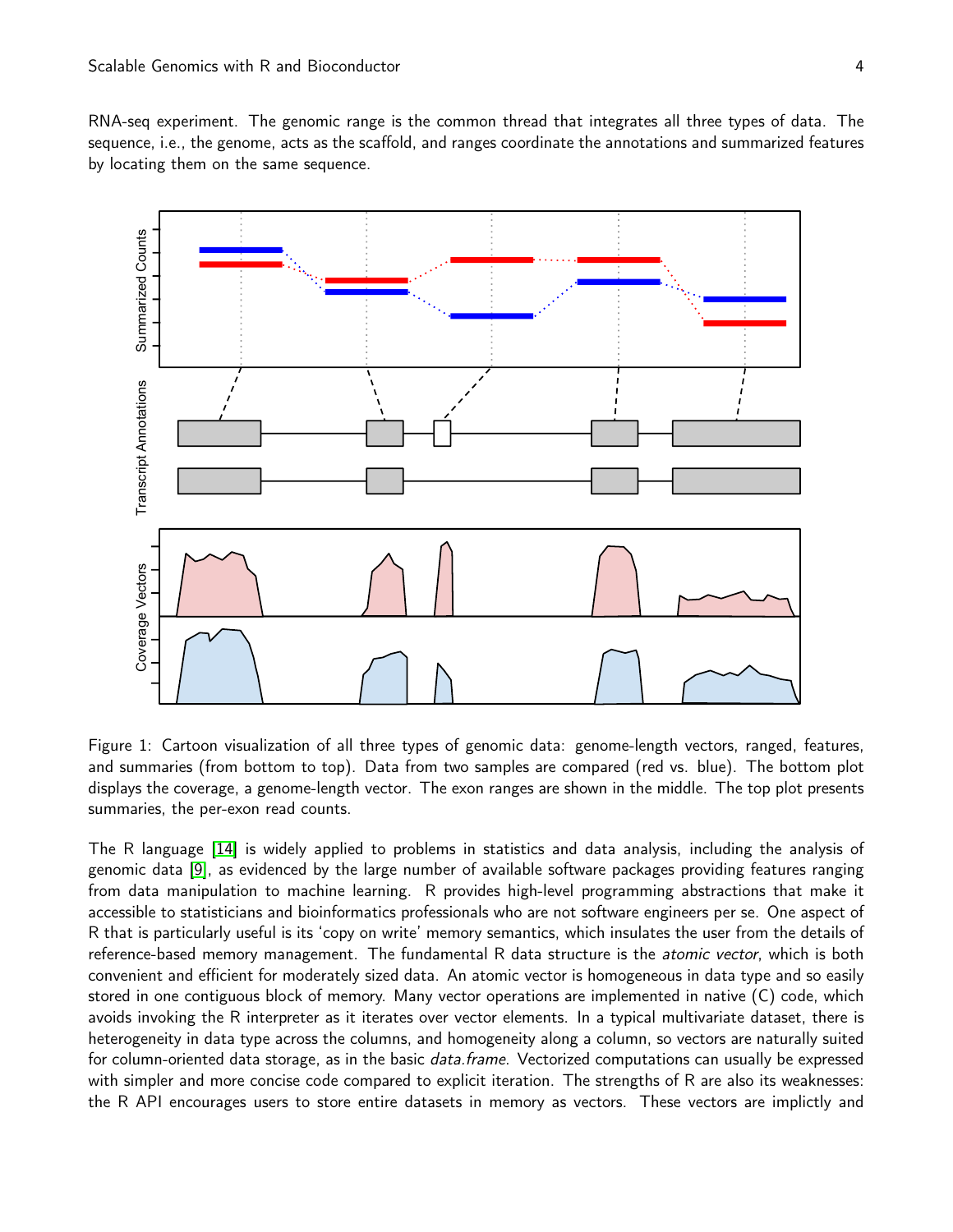RNA-seq experiment. The genomic range is the common thread that integrates all three types of data. The sequence, i.e., the genome, acts as the scaffold, and ranges coordinate the annotations and summarized features by locating them on the same sequence.



<span id="page-3-0"></span>Figure 1: Cartoon visualization of all three types of genomic data: genome-length vectors, ranged, features, and summaries (from bottom to top). Data from two samples are compared (red vs. blue). The bottom plot displays the coverage, a genome-length vector. The exon ranges are shown in the middle. The top plot presents summaries, the per-exon read counts.

The R language [\[14\]](#page-20-0) is widely applied to problems in statistics and data analysis, including the analysis of genomic data [\[9\]](#page-19-0), as evidenced by the large number of available software packages providing features ranging from data manipulation to machine learning. R provides high-level programming abstractions that make it accessible to statisticians and bioinformatics professionals who are not software engineers per se. One aspect of R that is particularly useful is its 'copy on write' memory semantics, which insulates the user from the details of reference-based memory management. The fundamental R data structure is the atomic vector, which is both convenient and efficient for moderately sized data. An atomic vector is homogeneous in data type and so easily stored in one contiguous block of memory. Many vector operations are implemented in native (C) code, which avoids invoking the R interpreter as it iterates over vector elements. In a typical multivariate dataset, there is heterogeneity in data type across the columns, and homogeneity along a column, so vectors are naturally suited for column-oriented data storage, as in the basic *data.frame*. Vectorized computations can usually be expressed with simpler and more concise code compared to explicit iteration. The strengths of R are also its weaknesses: the R API encourages users to store entire datasets in memory as vectors. These vectors are implictly and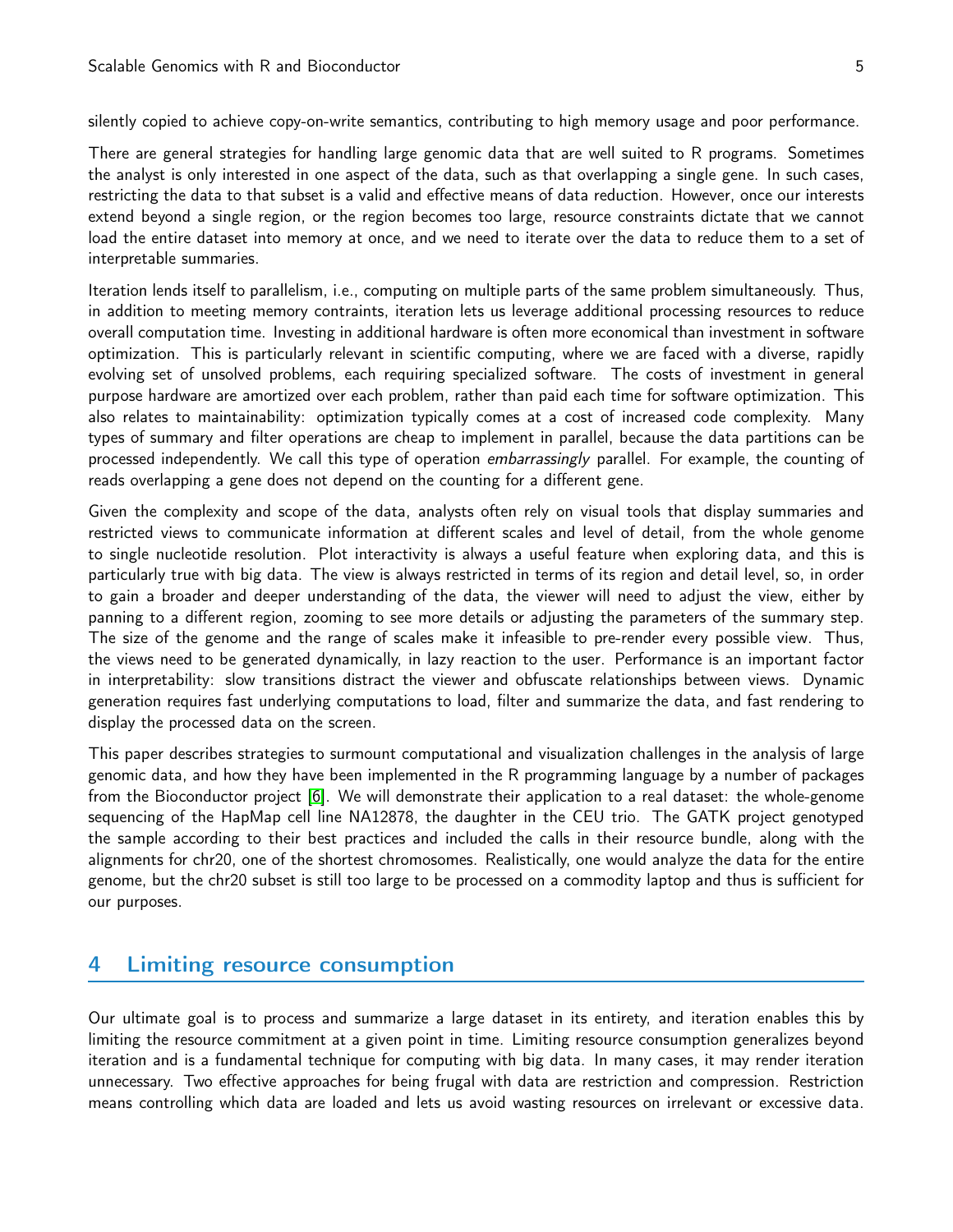silently copied to achieve copy-on-write semantics, contributing to high memory usage and poor performance.

There are general strategies for handling large genomic data that are well suited to R programs. Sometimes the analyst is only interested in one aspect of the data, such as that overlapping a single gene. In such cases, restricting the data to that subset is a valid and effective means of data reduction. However, once our interests extend beyond a single region, or the region becomes too large, resource constraints dictate that we cannot load the entire dataset into memory at once, and we need to iterate over the data to reduce them to a set of interpretable summaries.

Iteration lends itself to parallelism, i.e., computing on multiple parts of the same problem simultaneously. Thus, in addition to meeting memory contraints, iteration lets us leverage additional processing resources to reduce overall computation time. Investing in additional hardware is often more economical than investment in software optimization. This is particularly relevant in scientific computing, where we are faced with a diverse, rapidly evolving set of unsolved problems, each requiring specialized software. The costs of investment in general purpose hardware are amortized over each problem, rather than paid each time for software optimization. This also relates to maintainability: optimization typically comes at a cost of increased code complexity. Many types of summary and filter operations are cheap to implement in parallel, because the data partitions can be processed independently. We call this type of operation *embarrassingly* parallel. For example, the counting of reads overlapping a gene does not depend on the counting for a different gene.

Given the complexity and scope of the data, analysts often rely on visual tools that display summaries and restricted views to communicate information at different scales and level of detail, from the whole genome to single nucleotide resolution. Plot interactivity is always a useful feature when exploring data, and this is particularly true with big data. The view is always restricted in terms of its region and detail level, so, in order to gain a broader and deeper understanding of the data, the viewer will need to adjust the view, either by panning to a different region, zooming to see more details or adjusting the parameters of the summary step. The size of the genome and the range of scales make it infeasible to pre-render every possible view. Thus, the views need to be generated dynamically, in lazy reaction to the user. Performance is an important factor in interpretability: slow transitions distract the viewer and obfuscate relationships between views. Dynamic generation requires fast underlying computations to load, filter and summarize the data, and fast rendering to display the processed data on the screen.

This paper describes strategies to surmount computational and visualization challenges in the analysis of large genomic data, and how they have been implemented in the R programming language by a number of packages from the Bioconductor project [\[6\]](#page-19-1). We will demonstrate their application to a real dataset: the whole-genome sequencing of the HapMap cell line NA12878, the daughter in the CEU trio. The GATK project genotyped the sample according to their best practices and included the calls in their resource bundle, along with the alignments for chr20, one of the shortest chromosomes. Realistically, one would analyze the data for the entire genome, but the chr20 subset is still too large to be processed on a commodity laptop and thus is sufficient for our purposes.

### <span id="page-4-0"></span>4 Limiting resource consumption

Our ultimate goal is to process and summarize a large dataset in its entirety, and iteration enables this by limiting the resource commitment at a given point in time. Limiting resource consumption generalizes beyond iteration and is a fundamental technique for computing with big data. In many cases, it may render iteration unnecessary. Two effective approaches for being frugal with data are restriction and compression. Restriction means controlling which data are loaded and lets us avoid wasting resources on irrelevant or excessive data.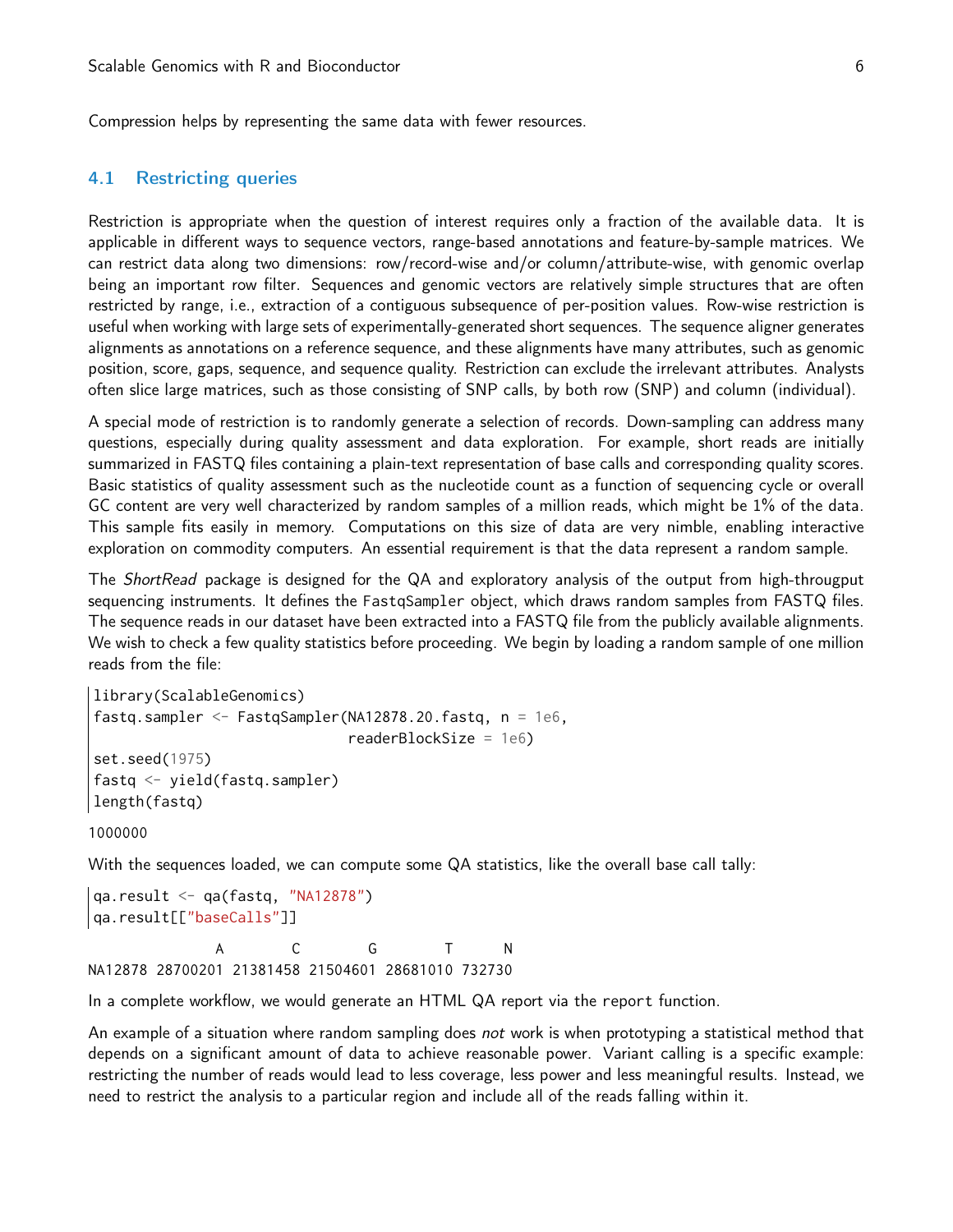Compression helps by representing the same data with fewer resources.

#### <span id="page-5-0"></span>4.1 Restricting queries

Restriction is appropriate when the question of interest requires only a fraction of the available data. It is applicable in different ways to sequence vectors, range-based annotations and feature-by-sample matrices. We can restrict data along two dimensions: row/record-wise and/or column/attribute-wise, with genomic overlap being an important row filter. Sequences and genomic vectors are relatively simple structures that are often restricted by range, i.e., extraction of a contiguous subsequence of per-position values. Row-wise restriction is useful when working with large sets of experimentally-generated short sequences. The sequence aligner generates alignments as annotations on a reference sequence, and these alignments have many attributes, such as genomic position, score, gaps, sequence, and sequence quality. Restriction can exclude the irrelevant attributes. Analysts often slice large matrices, such as those consisting of SNP calls, by both row (SNP) and column (individual).

A special mode of restriction is to randomly generate a selection of records. Down-sampling can address many questions, especially during quality assessment and data exploration. For example, short reads are initially summarized in FASTQ files containing a plain-text representation of base calls and corresponding quality scores. Basic statistics of quality assessment such as the nucleotide count as a function of sequencing cycle or overall GC content are very well characterized by random samples of a million reads, which might be 1% of the data. This sample fits easily in memory. Computations on this size of data are very nimble, enabling interactive exploration on commodity computers. An essential requirement is that the data represent a random sample.

The ShortRead package is designed for the QA and exploratory analysis of the output from high-througput sequencing instruments. It defines the FastqSampler object, which draws random samples from FASTQ files. The sequence reads in our dataset have been extracted into a FASTQ file from the publicly available alignments. We wish to check a few quality statistics before proceeding. We begin by loading a random sample of one million reads from the file:

```
library(ScalableGenomics)
fastq.sampler <- FastqSampler(NA12878.20.fastq, n = 1e6,
                              readerBlockSize = 1e6)
set.seed(1975)
fastq <- yield(fastq.sampler)
length(fastq)
```
1000000

With the sequences loaded, we can compute some QA statistics, like the overall base call tally:

```
qa.result \leq qa(fastq, "NA12878")
qa.result[["baseCalls"]]
             A C G T N
NA12878 28700201 21381458 21504601 28681010 732730
```
In a complete workflow, we would generate an HTML QA report via the report function.

An example of a situation where random sampling does not work is when prototyping a statistical method that depends on a significant amount of data to achieve reasonable power. Variant calling is a specific example: restricting the number of reads would lead to less coverage, less power and less meaningful results. Instead, we need to restrict the analysis to a particular region and include all of the reads falling within it.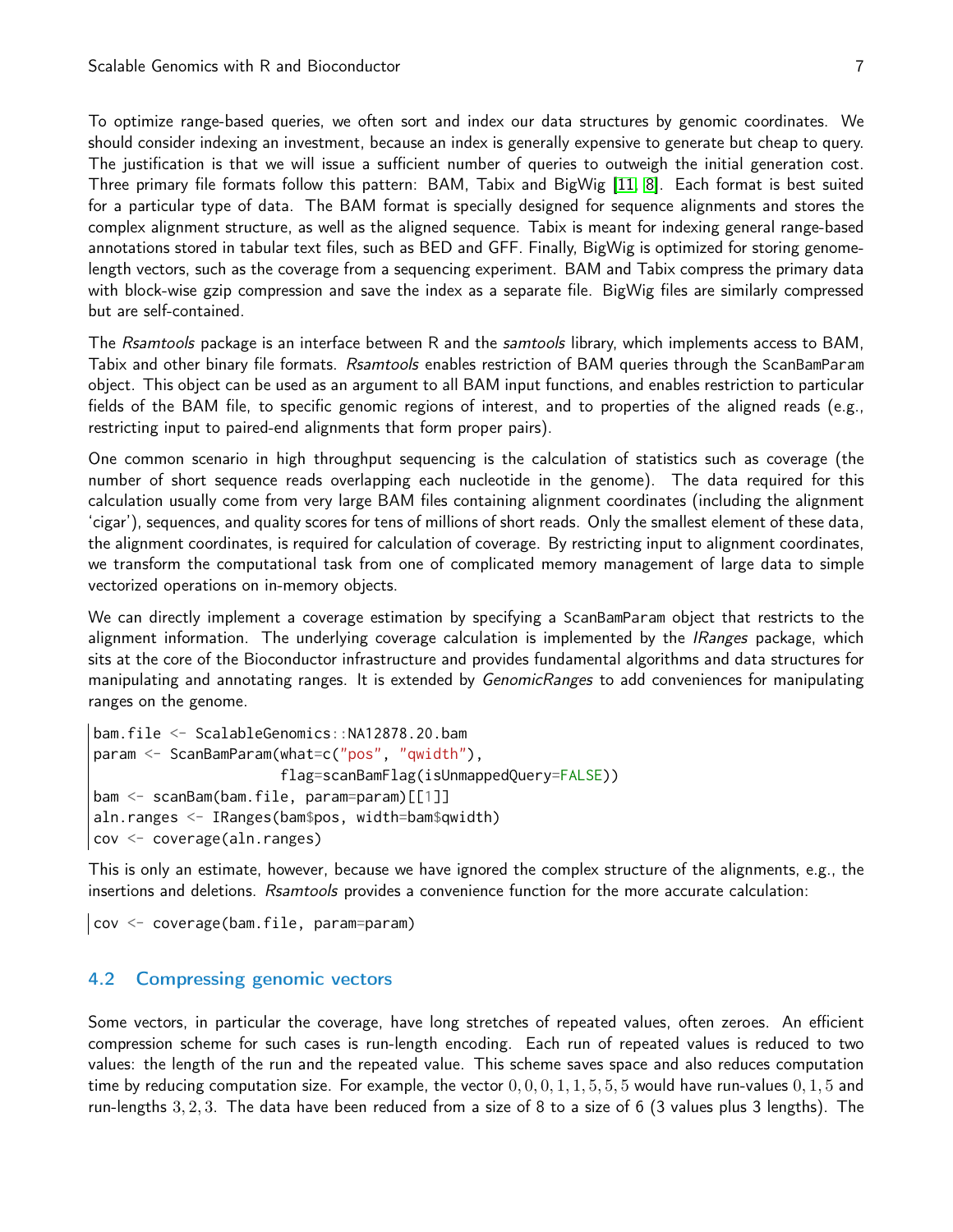To optimize range-based queries, we often sort and index our data structures by genomic coordinates. We should consider indexing an investment, because an index is generally expensive to generate but cheap to query. The justification is that we will issue a sufficient number of queries to outweigh the initial generation cost. Three primary file formats follow this pattern: BAM, Tabix and BigWig [\[11,](#page-19-2) [8\]](#page-19-3). Each format is best suited for a particular type of data. The BAM format is specially designed for sequence alignments and stores the complex alignment structure, as well as the aligned sequence. Tabix is meant for indexing general range-based annotations stored in tabular text files, such as BED and GFF. Finally, BigWig is optimized for storing genomelength vectors, such as the coverage from a sequencing experiment. BAM and Tabix compress the primary data with block-wise gzip compression and save the index as a separate file. BigWig files are similarly compressed but are self-contained.

The Rsamtools package is an interface between R and the samtools library, which implements access to BAM, Tabix and other binary file formats. Rsamtools enables restriction of BAM queries through the ScanBamParam object. This object can be used as an argument to all BAM input functions, and enables restriction to particular fields of the BAM file, to specific genomic regions of interest, and to properties of the aligned reads (e.g., restricting input to paired-end alignments that form proper pairs).

One common scenario in high throughput sequencing is the calculation of statistics such as coverage (the number of short sequence reads overlapping each nucleotide in the genome). The data required for this calculation usually come from very large BAM files containing alignment coordinates (including the alignment 'cigar'), sequences, and quality scores for tens of millions of short reads. Only the smallest element of these data, the alignment coordinates, is required for calculation of coverage. By restricting input to alignment coordinates, we transform the computational task from one of complicated memory management of large data to simple vectorized operations on in-memory objects.

We can directly implement a coverage estimation by specifying a ScanBamParam object that restricts to the alignment information. The underlying coverage calculation is implemented by the *IRanges* package, which sits at the core of the Bioconductor infrastructure and provides fundamental algorithms and data structures for manipulating and annotating ranges. It is extended by *GenomicRanges* to add conveniences for manipulating ranges on the genome.

```
bam.file <- ScalableGenomics::NA12878.20.bam
param <- ScanBamParam(what=c("pos", "qwidth"),
                      flag=scanBamFlag(isUnmappedQuery=FALSE))
bam <- scanBam(bam.file, param=param)[[1]]
aln.ranges <- IRanges(bam$pos, width=bam$qwidth)
cov <- coverage(aln.ranges)
```
This is only an estimate, however, because we have ignored the complex structure of the alignments, e.g., the insertions and deletions. Rsamtools provides a convenience function for the more accurate calculation:

```
cov <- coverage(bam.file, param=param)
```
### <span id="page-6-0"></span>4.2 Compressing genomic vectors

Some vectors, in particular the coverage, have long stretches of repeated values, often zeroes. An efficient compression scheme for such cases is run-length encoding. Each run of repeated values is reduced to two values: the length of the run and the repeated value. This scheme saves space and also reduces computation time by reducing computation size. For example, the vector  $0, 0, 0, 1, 1, 5, 5, 5$  would have run-values  $0, 1, 5$  and run-lengths 3, 2, 3. The data have been reduced from a size of 8 to a size of 6 (3 values plus 3 lengths). The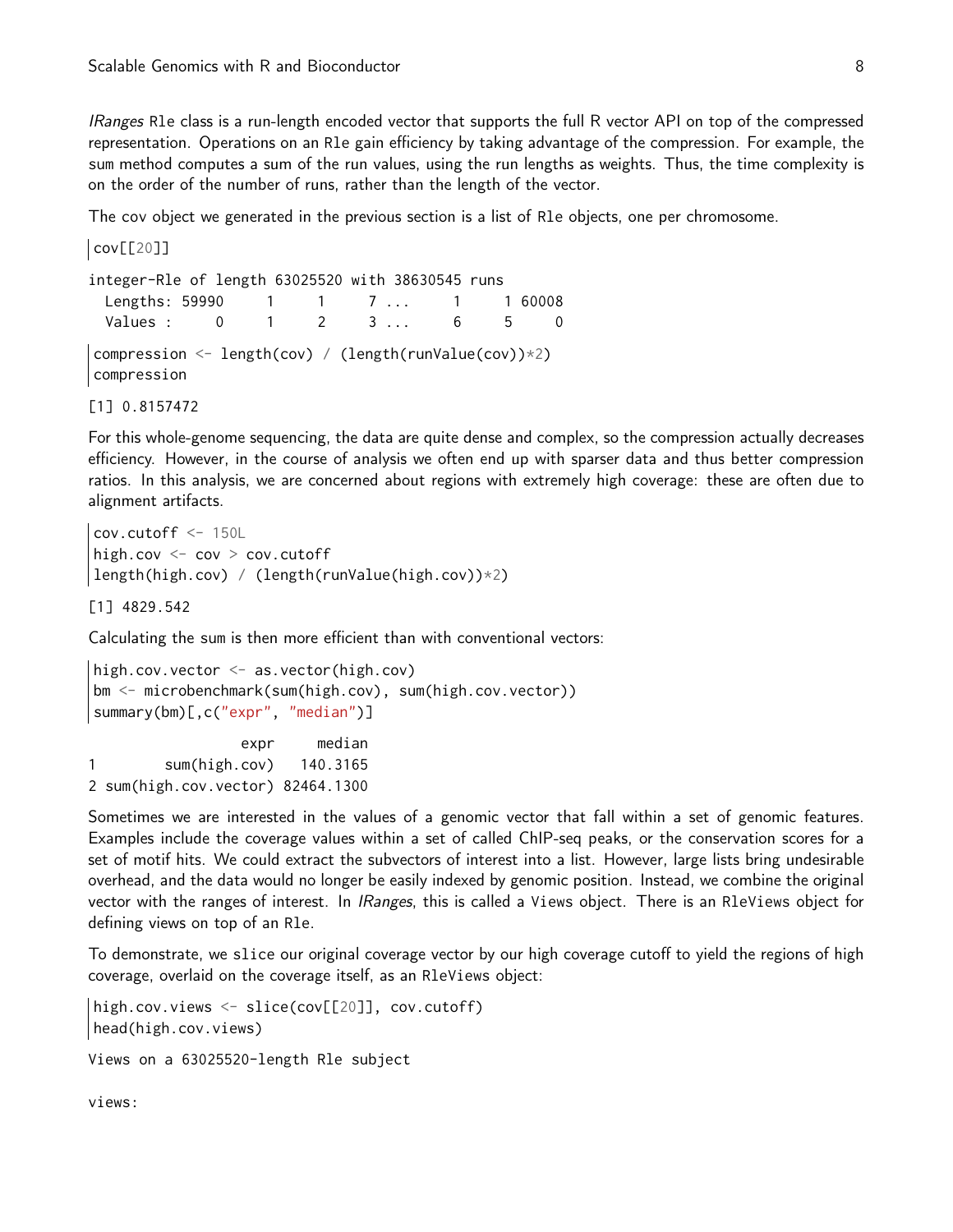IRanges Rle class is a run-length encoded vector that supports the full R vector API on top of the compressed representation. Operations on an Rle gain efficiency by taking advantage of the compression. For example, the sum method computes a sum of the run values, using the run lengths as weights. Thus, the time complexity is on the order of the number of runs, rather than the length of the vector.

The cov object we generated in the previous section is a list of Rle objects, one per chromosome.

```
cov[[20]]
integer-Rle of length 63025520 with 38630545 runs
 Lengths: 59990 1 1 7 ... 1 1 60008
 Values : 0 1 2 3 ... 6 5 0
compression <- length(cov) / (length(runValue(cov))*2)
compression
```
[1] 0.8157472

For this whole-genome sequencing, the data are quite dense and complex, so the compression actually decreases efficiency. However, in the course of analysis we often end up with sparser data and thus better compression ratios. In this analysis, we are concerned about regions with extremely high coverage: these are often due to alignment artifacts.

```
cov.cutoff <- 150L
high.cov <- cov > cov.cutoff
length(high.cov) / (length(runValue(high.cov))*2)
```
[1] 4829.542

Calculating the sum is then more efficient than with conventional vectors:

```
high.cov.vector <- as.vector(high.cov)
bm <- microbenchmark(sum(high.cov), sum(high.cov.vector))
summary(bm)[,c("expr", "median")]
                expr median
1 sum(high.cov) 140.3165
```
2 sum(high.cov.vector) 82464.1300

Sometimes we are interested in the values of a genomic vector that fall within a set of genomic features. Examples include the coverage values within a set of called ChIP-seq peaks, or the conservation scores for a set of motif hits. We could extract the subvectors of interest into a list. However, large lists bring undesirable overhead, and the data would no longer be easily indexed by genomic position. Instead, we combine the original vector with the ranges of interest. In *IRanges*, this is called a Views object. There is an R1eViews object for defining views on top of an Rle.

To demonstrate, we slice our original coverage vector by our high coverage cutoff to yield the regions of high coverage, overlaid on the coverage itself, as an RleViews object:

high.cov.views <- slice(cov[[20]], cov.cutoff) head(high.cov.views) Views on a 63025520-length Rle subject

views: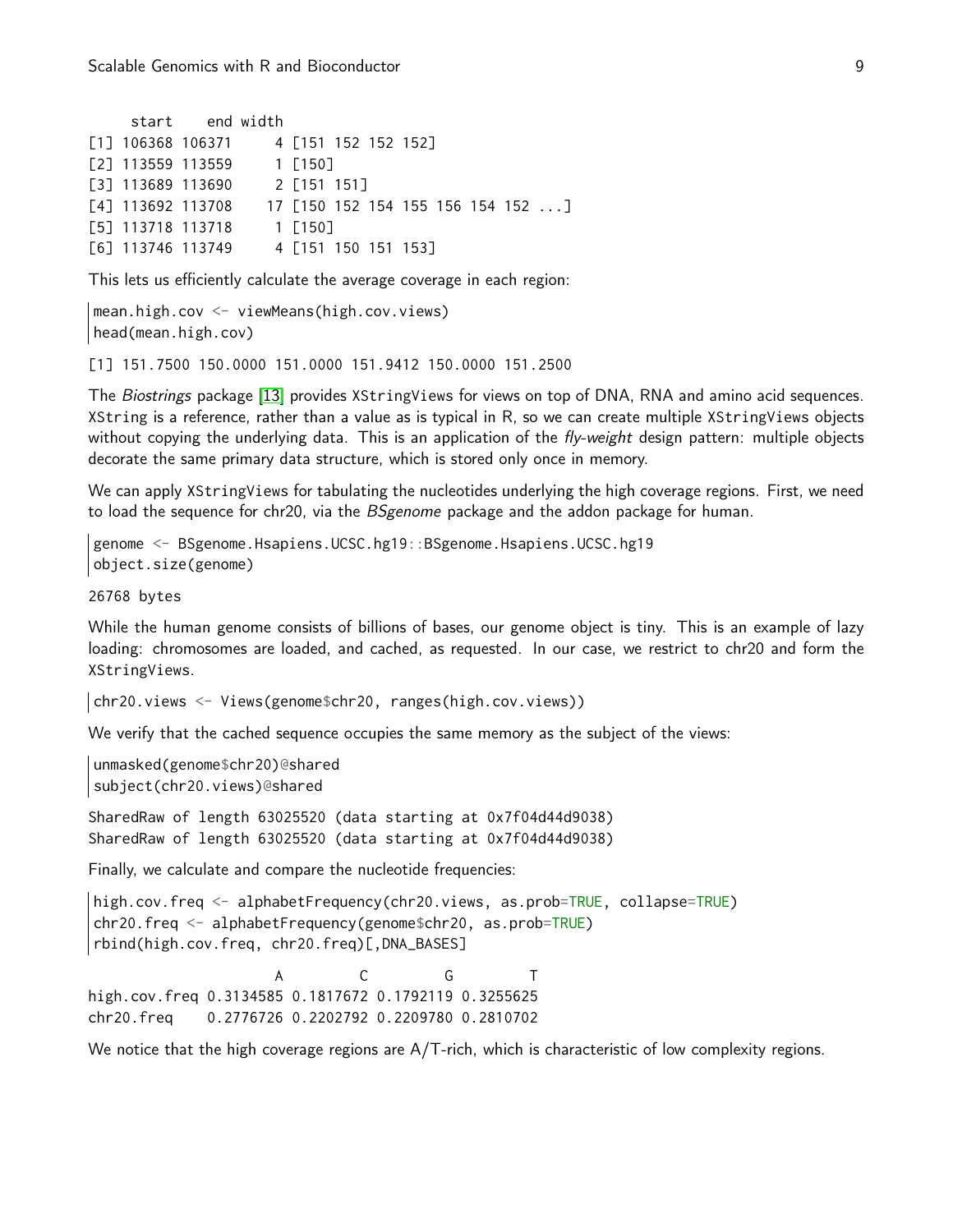```
start end width
[1] 106368 106371 4 [151 152 152 152]
[2] 113559 113559 1 [150]
[3] 113689 113690 2 [151 151]
[4] 113692 113708 17 [150 152 154 155 156 154 152 ...]
[5] 113718 113718 1 [150]
[6] 113746 113749 4 [151 150 151 153]
```
This lets us efficiently calculate the average coverage in each region:

```
mean.high.cov <- viewMeans(high.cov.views)
head(mean.high.cov)
```
[1] 151.7500 150.0000 151.0000 151.9412 150.0000 151.2500

The Biostrings package [\[13\]](#page-20-1) provides XStringViews for views on top of DNA, RNA and amino acid sequences. XString is a reference, rather than a value as is typical in R, so we can create multiple XStringViews objects without copying the underlying data. This is an application of the  $fly-weight$  design pattern: multiple objects decorate the same primary data structure, which is stored only once in memory.

We can apply XStringViews for tabulating the nucleotides underlying the high coverage regions. First, we need to load the sequence for chr20, via the *BSgenome* package and the addon package for human.

```
genome <- BSgenome.Hsapiens.UCSC.hg19::BSgenome.Hsapiens.UCSC.hg19
object.size(genome)
```
26768 bytes

While the human genome consists of billions of bases, our genome object is tiny. This is an example of lazy loading: chromosomes are loaded, and cached, as requested. In our case, we restrict to chr20 and form the XStringViews.

chr20.views <- Views(genome\$chr20, ranges(high.cov.views))

We verify that the cached sequence occupies the same memory as the subject of the views:

```
unmasked(genome$chr20)@shared
subject(chr20.views)@shared
```
SharedRaw of length 63025520 (data starting at 0x7f04d44d9038) SharedRaw of length 63025520 (data starting at 0x7f04d44d9038)

Finally, we calculate and compare the nucleotide frequencies:

```
high.cov.freq <- alphabetFrequency(chr20.views, as.prob=TRUE, collapse=TRUE)
chr20.freq <- alphabetFrequency(genome$chr20, as.prob=TRUE)
rbind(high.cov.freq, chr20.freq)[,DNA_BASES]
```
A C G T high.cov.freq 0.3134585 0.1817672 0.1792119 0.3255625 chr20.freq 0.2776726 0.2202792 0.2209780 0.2810702

We notice that the high coverage regions are A/T-rich, which is characteristic of low complexity regions.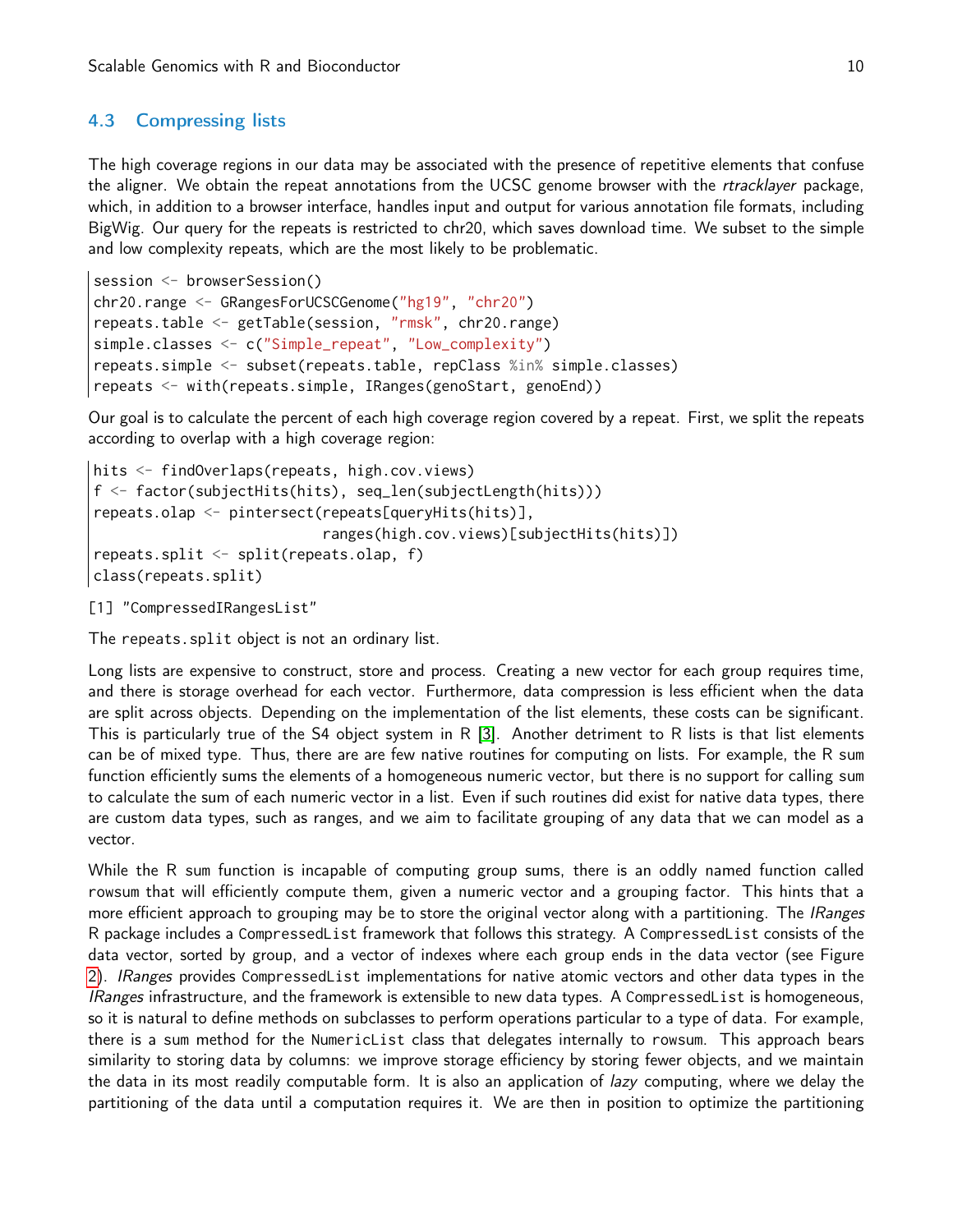### <span id="page-9-0"></span>4.3 Compressing lists

The high coverage regions in our data may be associated with the presence of repetitive elements that confuse the aligner. We obtain the repeat annotations from the UCSC genome browser with the *rtracklayer* package, which, in addition to a browser interface, handles input and output for various annotation file formats, including BigWig. Our query for the repeats is restricted to chr20, which saves download time. We subset to the simple and low complexity repeats, which are the most likely to be problematic.

```
session <- browserSession()
chr20.range <- GRangesForUCSCGenome("hg19", "chr20")
repeats.table <- getTable(session, "rmsk", chr20.range)
simple.classes <- c("Simple_repeat", "Low_complexity")
repeats.simple <- subset(repeats.table, repClass %in% simple.classes)
repeats <- with(repeats.simple, IRanges(genoStart, genoEnd))
```
Our goal is to calculate the percent of each high coverage region covered by a repeat. First, we split the repeats according to overlap with a high coverage region:

```
hits <- findOverlaps(repeats, high.cov.views)
f <- factor(subjectHits(hits), seq_len(subjectLength(hits)))
repeats.olap <- pintersect(repeats[queryHits(hits)],
                           ranges(high.cov.views)[subjectHits(hits)])
repeats.split <- split(repeats.olap, f)
class(repeats.split)
```

```
[1] "CompressedIRangesList"
```
The repeats.split object is not an ordinary list.

Long lists are expensive to construct, store and process. Creating a new vector for each group requires time, and there is storage overhead for each vector. Furthermore, data compression is less efficient when the data are split across objects. Depending on the implementation of the list elements, these costs can be significant. This is particularly true of the S4 object system in R [\[3\]](#page-19-4). Another detriment to R lists is that list elements can be of mixed type. Thus, there are are few native routines for computing on lists. For example, the R sum function efficiently sums the elements of a homogeneous numeric vector, but there is no support for calling sum to calculate the sum of each numeric vector in a list. Even if such routines did exist for native data types, there are custom data types, such as ranges, and we aim to facilitate grouping of any data that we can model as a vector.

While the R sum function is incapable of computing group sums, there is an oddly named function called rowsum that will efficiently compute them, given a numeric vector and a grouping factor. This hints that a more efficient approach to grouping may be to store the original vector along with a partitioning. The *IRanges* R package includes a CompressedList framework that follows this strategy. A CompressedList consists of the data vector, sorted by group, and a vector of indexes where each group ends in the data vector (see Figure [2\)](#page-10-0). IRanges provides CompressedList implementations for native atomic vectors and other data types in the IRanges infrastructure, and the framework is extensible to new data types. A CompressedList is homogeneous, so it is natural to define methods on subclasses to perform operations particular to a type of data. For example, there is a sum method for the NumericList class that delegates internally to rowsum. This approach bears similarity to storing data by columns: we improve storage efficiency by storing fewer objects, and we maintain the data in its most readily computable form. It is also an application of lazy computing, where we delay the partitioning of the data until a computation requires it. We are then in position to optimize the partitioning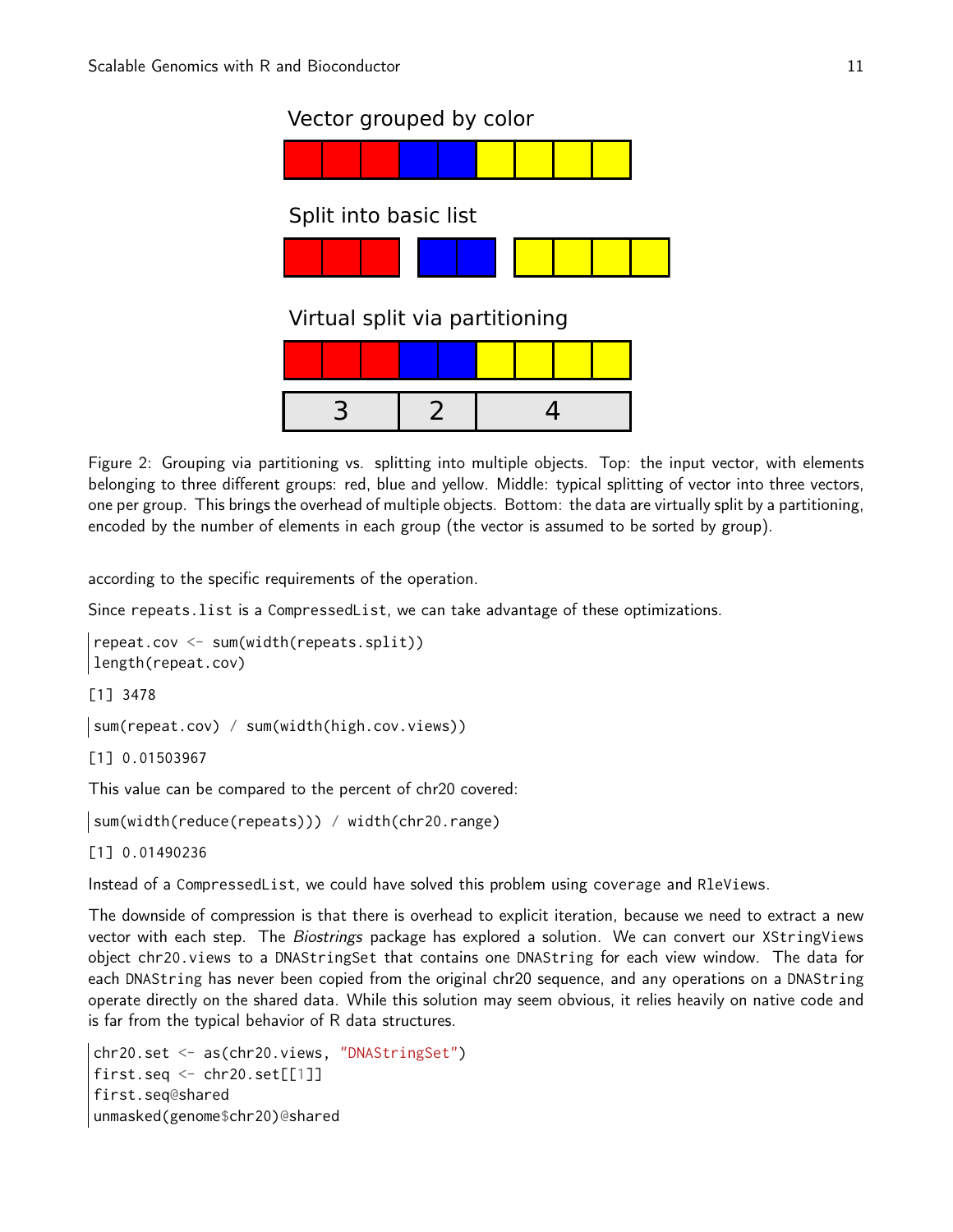### Vector grouped by color



Split into basic list



Virtual split via partitioning

<span id="page-10-0"></span>Figure 2: Grouping via partitioning vs. splitting into multiple objects. Top: the input vector, with elements belonging to three different groups: red, blue and yellow. Middle: typical splitting of vector into three vectors, one per group. This brings the overhead of multiple objects. Bottom: the data are virtually split by a partitioning, encoded by the number of elements in each group (the vector is assumed to be sorted by group).

according to the specific requirements of the operation.

Since repeats.list is a CompressedList, we can take advantage of these optimizations.

```
repeat.cov <- sum(width(repeats.split))
length(repeat.cov)
```
[1] 3478

```
sum(repeat.cov) / sum(width(high.cov.views))
```
[1] 0.01503967

This value can be compared to the percent of chr20 covered:

sum(width(reduce(repeats))) / width(chr20.range)

[1] 0.01490236

Instead of a CompressedList, we could have solved this problem using coverage and RleViews.

The downside of compression is that there is overhead to explicit iteration, because we need to extract a new vector with each step. The Biostrings package has explored a solution. We can convert our XStringViews object chr20.views to a DNAStringSet that contains one DNAString for each view window. The data for each DNAString has never been copied from the original chr20 sequence, and any operations on a DNAString operate directly on the shared data. While this solution may seem obvious, it relies heavily on native code and is far from the typical behavior of R data structures.

```
chr20.set <- as(chr20.views, "DNAStringSet")
first.seq \le chr20.set[[1]]
first.seq@shared
unmasked(genome$chr20)@shared
```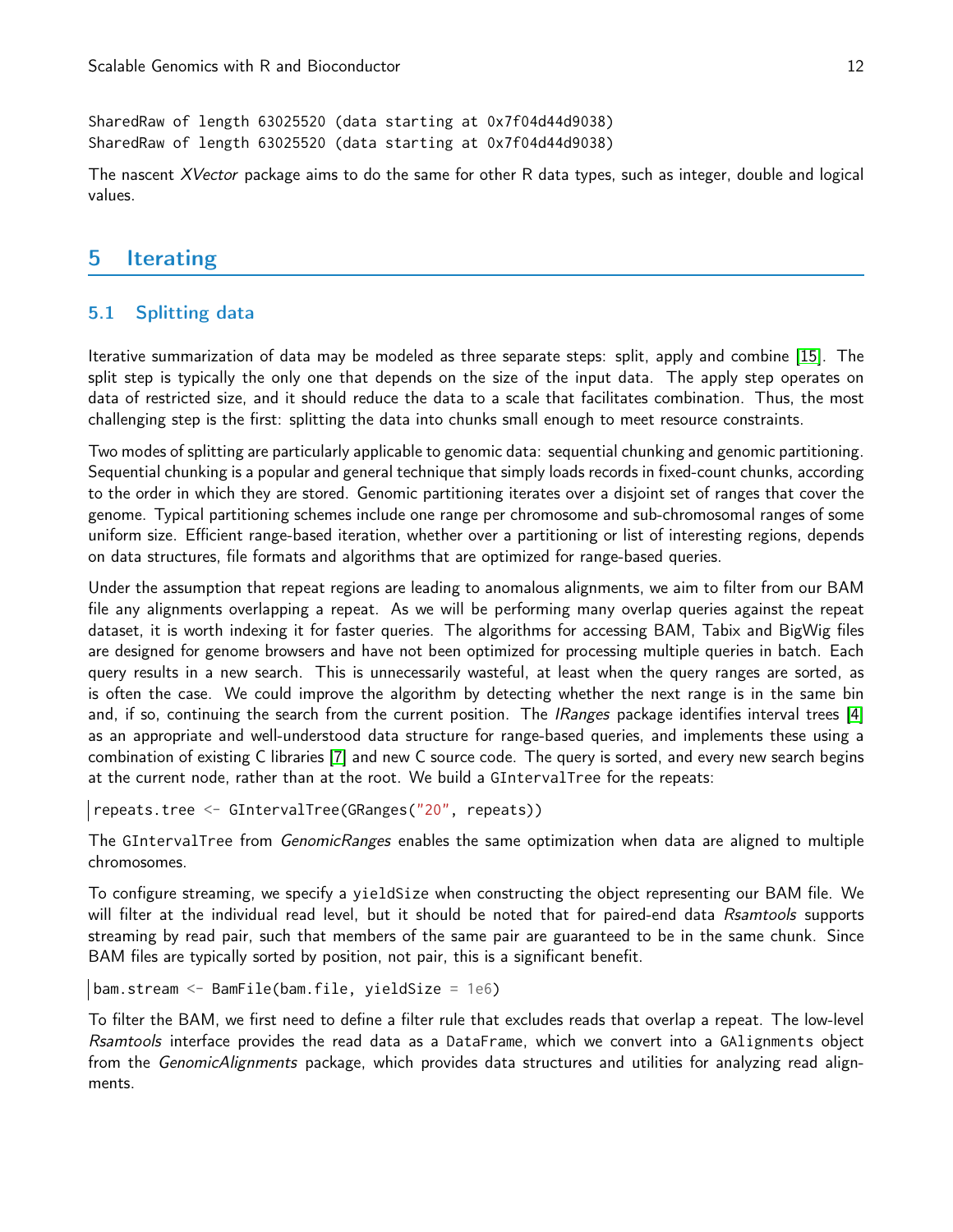SharedRaw of length 63025520 (data starting at 0x7f04d44d9038) SharedRaw of length 63025520 (data starting at 0x7f04d44d9038)

The nascent XVector package aims to do the same for other R data types, such as integer, double and logical values.

# <span id="page-11-0"></span>5 Iterating

### <span id="page-11-1"></span>5.1 Splitting data

Iterative summarization of data may be modeled as three separate steps: split, apply and combine [\[15\]](#page-20-2). The split step is typically the only one that depends on the size of the input data. The apply step operates on data of restricted size, and it should reduce the data to a scale that facilitates combination. Thus, the most challenging step is the first: splitting the data into chunks small enough to meet resource constraints.

Two modes of splitting are particularly applicable to genomic data: sequential chunking and genomic partitioning. Sequential chunking is a popular and general technique that simply loads records in fixed-count chunks, according to the order in which they are stored. Genomic partitioning iterates over a disjoint set of ranges that cover the genome. Typical partitioning schemes include one range per chromosome and sub-chromosomal ranges of some uniform size. Efficient range-based iteration, whether over a partitioning or list of interesting regions, depends on data structures, file formats and algorithms that are optimized for range-based queries.

Under the assumption that repeat regions are leading to anomalous alignments, we aim to filter from our BAM file any alignments overlapping a repeat. As we will be performing many overlap queries against the repeat dataset, it is worth indexing it for faster queries. The algorithms for accessing BAM, Tabix and BigWig files are designed for genome browsers and have not been optimized for processing multiple queries in batch. Each query results in a new search. This is unnecessarily wasteful, at least when the query ranges are sorted, as is often the case. We could improve the algorithm by detecting whether the next range is in the same bin and, if so, continuing the search from the current position. The *IRanges* package identifies interval trees [\[4\]](#page-19-5) as an appropriate and well-understood data structure for range-based queries, and implements these using a combination of existing C libraries [\[7\]](#page-19-6) and new C source code. The query is sorted, and every new search begins at the current node, rather than at the root. We build a GIntervalTree for the repeats:

```
repeats.tree <- GIntervalTree(GRanges("20", repeats))
```
The GIntervalTree from *GenomicRanges* enables the same optimization when data are aligned to multiple chromosomes.

To configure streaming, we specify a yieldSize when constructing the object representing our BAM file. We will filter at the individual read level, but it should be noted that for paired-end data Rsamtools supports streaming by read pair, such that members of the same pair are guaranteed to be in the same chunk. Since BAM files are typically sorted by position, not pair, this is a significant benefit.

```
bam.stream <- BamFile(bam.file, yieldSize = 1e6)
```
To filter the BAM, we first need to define a filter rule that excludes reads that overlap a repeat. The low-level Rsamtools interface provides the read data as a DataFrame, which we convert into a GAlignments object from the GenomicAlignments package, which provides data structures and utilities for analyzing read alignments.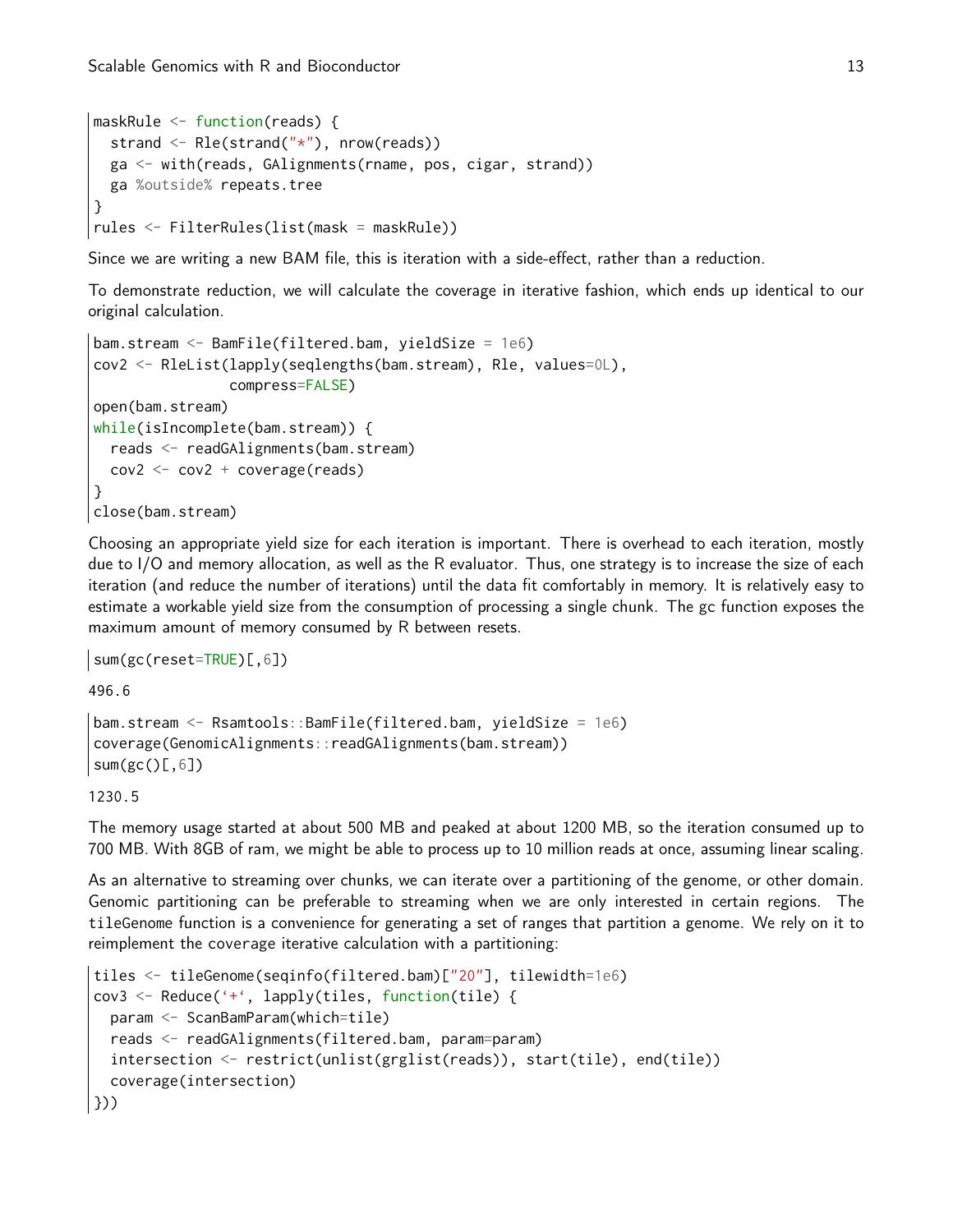```
maskRule <- function(reads) {
  strand \leq Rle(strand("\ast"), nrow(reads))
  ga <- with(reads, GAlignments(rname, pos, cigar, strand))
  ga %outside% repeats.tree
}
rules <- FilterRules(list(mask = maskRule))
```
Since we are writing a new BAM file, this is iteration with a side-effect, rather than a reduction.

To demonstrate reduction, we will calculate the coverage in iterative fashion, which ends up identical to our original calculation.

```
bam.stream <- BamFile(filtered.bam, yieldSize = 1e6)
cov2 <- RleList(lapply(seqlengths(bam.stream), Rle, values=0L),
                compress=FALSE)
open(bam.stream)
while(isIncomplete(bam.stream)) {
  reads <- readGAlignments(bam.stream)
  cov2 \leq cov2 + coverge(reads)
}
close(bam.stream)
```
Choosing an appropriate yield size for each iteration is important. There is overhead to each iteration, mostly due to I/O and memory allocation, as well as the R evaluator. Thus, one strategy is to increase the size of each iteration (and reduce the number of iterations) until the data fit comfortably in memory. It is relatively easy to estimate a workable yield size from the consumption of processing a single chunk. The gc function exposes the maximum amount of memory consumed by R between resets.

```
sum(gc(reset=TRUE)[,6])
```
496.6

```
bam.stream <- Rsamtools::BamFile(filtered.bam, yieldSize = 1e6)
coverage(GenomicAlignments::readGAlignments(bam.stream))
sum(gc()[, 6])
```
1230.5

The memory usage started at about 500 MB and peaked at about 1200 MB, so the iteration consumed up to 700 MB. With 8GB of ram, we might be able to process up to 10 million reads at once, assuming linear scaling.

As an alternative to streaming over chunks, we can iterate over a partitioning of the genome, or other domain. Genomic partitioning can be preferable to streaming when we are only interested in certain regions. The tileGenome function is a convenience for generating a set of ranges that partition a genome. We rely on it to reimplement the coverage iterative calculation with a partitioning:

```
tiles <- tileGenome(seqinfo(filtered.bam)["20"], tilewidth=1e6)
cov3 <- Reduce('+', lapply(tiles, function(tile) {
  param <- ScanBamParam(which=tile)
  reads <- readGAlignments(filtered.bam, param=param)
  intersection <- restrict(unlist(grglist(reads)), start(tile), end(tile))
  coverage(intersection)
}))
```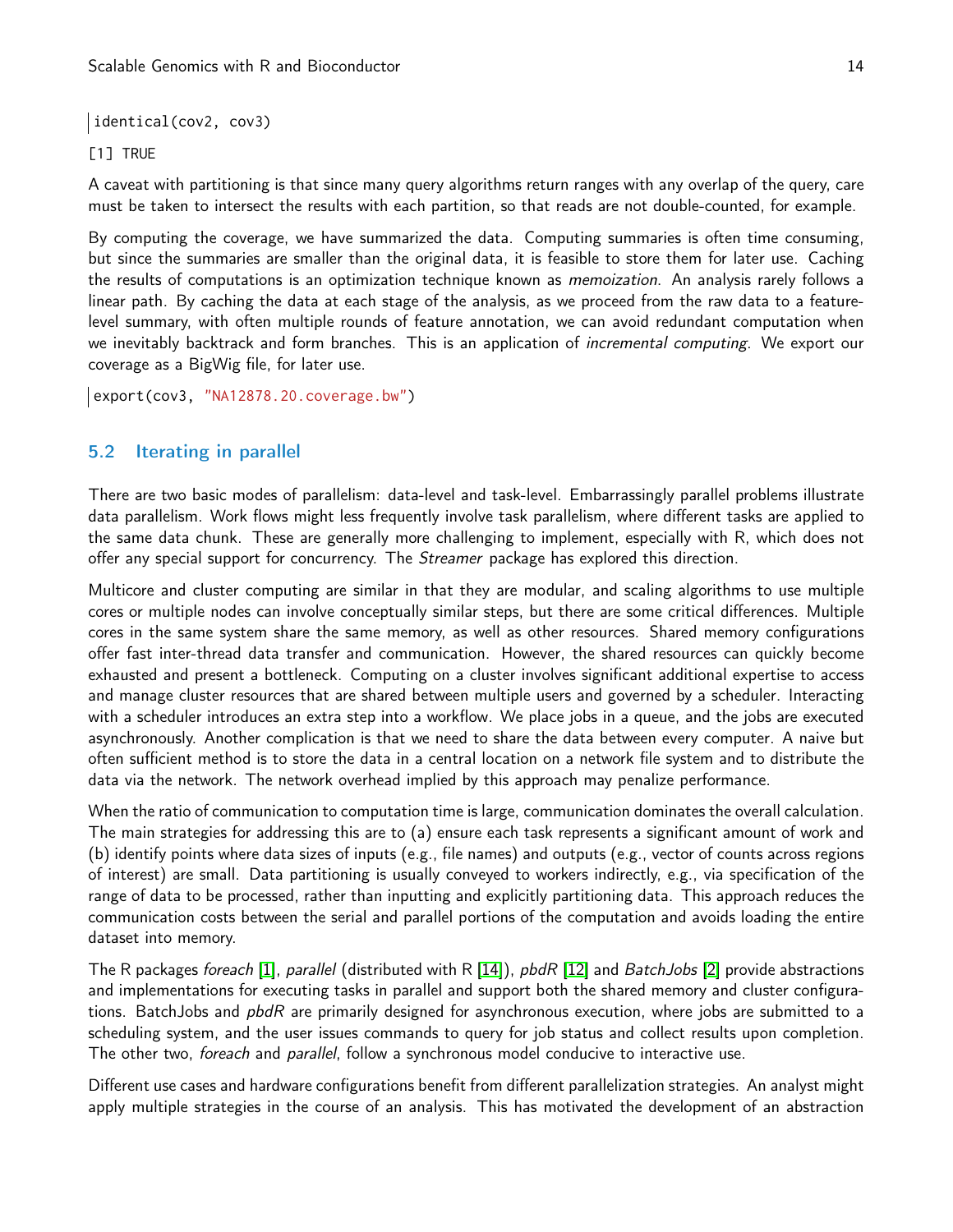|identical(cov2, cov3)

#### [1] TRUE

A caveat with partitioning is that since many query algorithms return ranges with any overlap of the query, care must be taken to intersect the results with each partition, so that reads are not double-counted, for example.

By computing the coverage, we have summarized the data. Computing summaries is often time consuming, but since the summaries are smaller than the original data, it is feasible to store them for later use. Caching the results of computations is an optimization technique known as *memoization*. An analysis rarely follows a linear path. By caching the data at each stage of the analysis, as we proceed from the raw data to a featurelevel summary, with often multiple rounds of feature annotation, we can avoid redundant computation when we inevitably backtrack and form branches. This is an application of *incremental computing*. We export our coverage as a BigWig file, for later use.

export(cov3, "NA12878.20.coverage.bw")

### <span id="page-13-0"></span>5.2 Iterating in parallel

There are two basic modes of parallelism: data-level and task-level. Embarrassingly parallel problems illustrate data parallelism. Work flows might less frequently involve task parallelism, where different tasks are applied to the same data chunk. These are generally more challenging to implement, especially with R, which does not offer any special support for concurrency. The Streamer package has explored this direction.

Multicore and cluster computing are similar in that they are modular, and scaling algorithms to use multiple cores or multiple nodes can involve conceptually similar steps, but there are some critical differences. Multiple cores in the same system share the same memory, as well as other resources. Shared memory configurations offer fast inter-thread data transfer and communication. However, the shared resources can quickly become exhausted and present a bottleneck. Computing on a cluster involves significant additional expertise to access and manage cluster resources that are shared between multiple users and governed by a scheduler. Interacting with a scheduler introduces an extra step into a workflow. We place jobs in a queue, and the jobs are executed asynchronously. Another complication is that we need to share the data between every computer. A naive but often sufficient method is to store the data in a central location on a network file system and to distribute the data via the network. The network overhead implied by this approach may penalize performance.

When the ratio of communication to computation time is large, communication dominates the overall calculation. The main strategies for addressing this are to (a) ensure each task represents a significant amount of work and (b) identify points where data sizes of inputs (e.g., file names) and outputs (e.g., vector of counts across regions of interest) are small. Data partitioning is usually conveyed to workers indirectly, e.g., via specification of the range of data to be processed, rather than inputting and explicitly partitioning data. This approach reduces the communication costs between the serial and parallel portions of the computation and avoids loading the entire dataset into memory.

The R packages foreach [\[1\]](#page-19-7), parallel (distributed with R [\[14\]](#page-20-0)),  $pbdR$  [\[12\]](#page-20-3) and BatchJobs [\[2\]](#page-19-8) provide abstractions and implementations for executing tasks in parallel and support both the shared memory and cluster configurations. BatchJobs and *pbdR* are primarily designed for asynchronous execution, where jobs are submitted to a scheduling system, and the user issues commands to query for job status and collect results upon completion. The other two, *foreach* and *parallel*, follow a synchronous model conducive to interactive use.

Different use cases and hardware configurations benefit from different parallelization strategies. An analyst might apply multiple strategies in the course of an analysis. This has motivated the development of an abstraction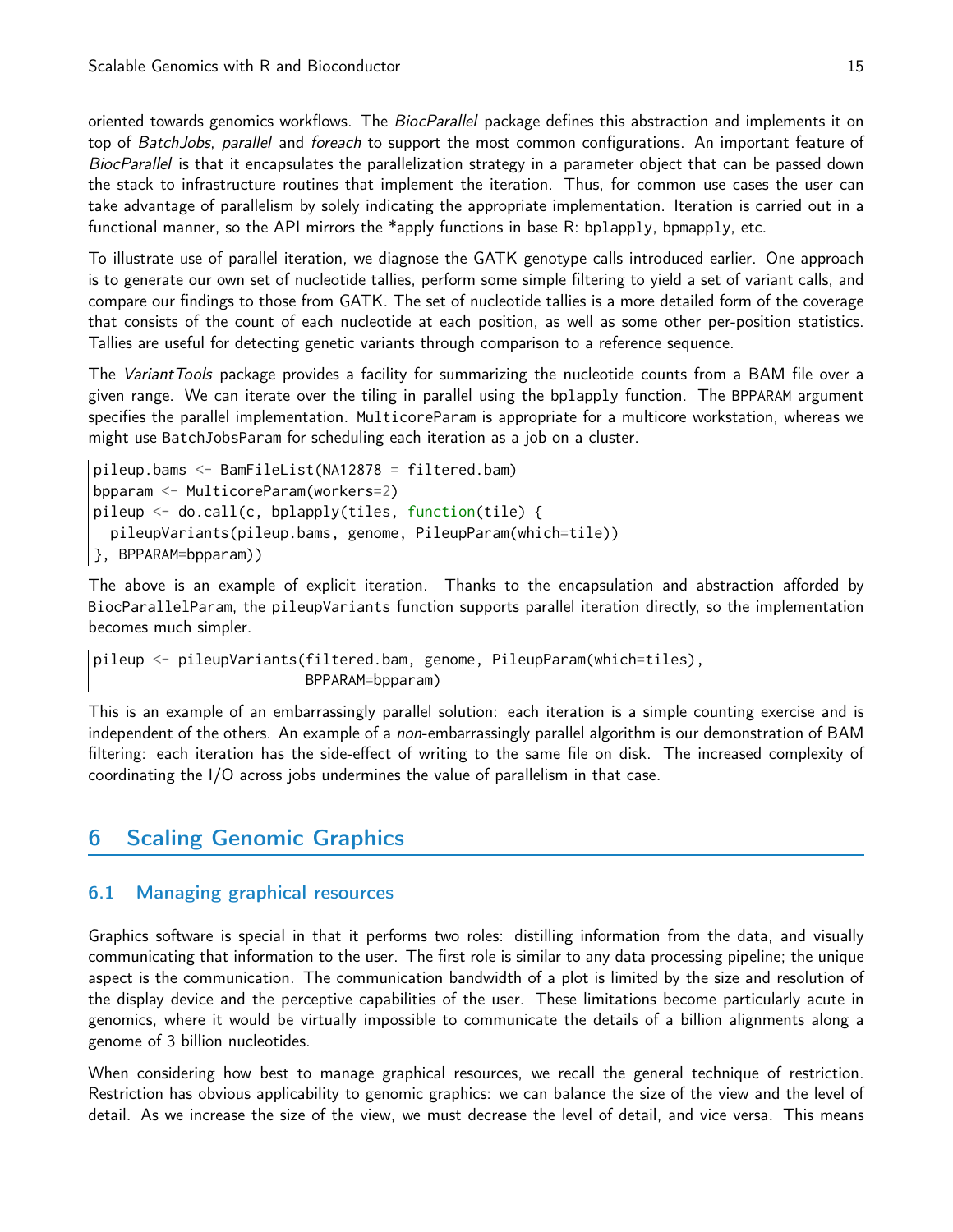oriented towards genomics workflows. The *BiocParallel* package defines this abstraction and implements it on top of BatchJobs, parallel and foreach to support the most common configurations. An important feature of BiocParallel is that it encapsulates the parallelization strategy in a parameter object that can be passed down the stack to infrastructure routines that implement the iteration. Thus, for common use cases the user can take advantage of parallelism by solely indicating the appropriate implementation. Iteration is carried out in a functional manner, so the API mirrors the \*apply functions in base R: bplapply, bpmapply, etc.

To illustrate use of parallel iteration, we diagnose the GATK genotype calls introduced earlier. One approach is to generate our own set of nucleotide tallies, perform some simple filtering to yield a set of variant calls, and compare our findings to those from GATK. The set of nucleotide tallies is a more detailed form of the coverage that consists of the count of each nucleotide at each position, as well as some other per-position statistics. Tallies are useful for detecting genetic variants through comparison to a reference sequence.

The Variant Tools package provides a facility for summarizing the nucleotide counts from a BAM file over a given range. We can iterate over the tiling in parallel using the bplapply function. The BPPARAM argument specifies the parallel implementation. MulticoreParam is appropriate for a multicore workstation, whereas we might use BatchJobsParam for scheduling each iteration as a job on a cluster.

```
pileup.bams <- BamFileList(NA12878 = filtered.bam)
bpparam <- MulticoreParam(workers=2)
pileup <- do.call(c, bplapply(tiles, function(tile) {
  pileupVariants(pileup.bams, genome, PileupParam(which=tile))
}, BPPARAM=bpparam))
```
The above is an example of explicit iteration. Thanks to the encapsulation and abstraction afforded by BiocParallelParam, the pileupVariants function supports parallel iteration directly, so the implementation becomes much simpler.

```
pileup <- pileupVariants(filtered.bam, genome, PileupParam(which=tiles),
                         BPPARAM=bpparam)
```
This is an example of an embarrassingly parallel solution: each iteration is a simple counting exercise and is independent of the others. An example of a *non*-embarrassingly parallel algorithm is our demonstration of BAM filtering: each iteration has the side-effect of writing to the same file on disk. The increased complexity of coordinating the I/O across jobs undermines the value of parallelism in that case.

# <span id="page-14-0"></span>6 Scaling Genomic Graphics

## <span id="page-14-1"></span>6.1 Managing graphical resources

Graphics software is special in that it performs two roles: distilling information from the data, and visually communicating that information to the user. The first role is similar to any data processing pipeline; the unique aspect is the communication. The communication bandwidth of a plot is limited by the size and resolution of the display device and the perceptive capabilities of the user. These limitations become particularly acute in genomics, where it would be virtually impossible to communicate the details of a billion alignments along a genome of 3 billion nucleotides.

When considering how best to manage graphical resources, we recall the general technique of restriction. Restriction has obvious applicability to genomic graphics: we can balance the size of the view and the level of detail. As we increase the size of the view, we must decrease the level of detail, and vice versa. This means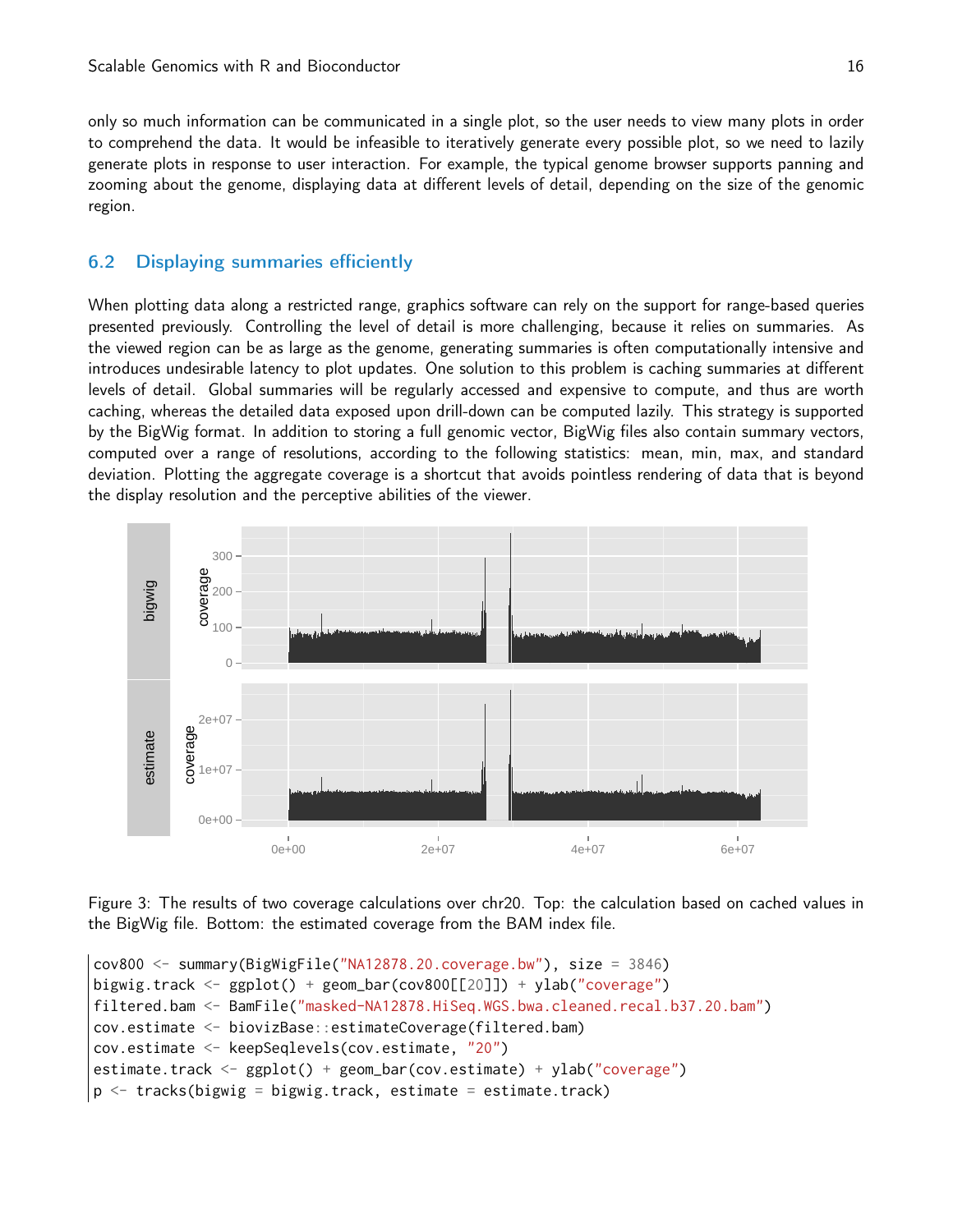only so much information can be communicated in a single plot, so the user needs to view many plots in order to comprehend the data. It would be infeasible to iteratively generate every possible plot, so we need to lazily generate plots in response to user interaction. For example, the typical genome browser supports panning and zooming about the genome, displaying data at different levels of detail, depending on the size of the genomic region.

### <span id="page-15-0"></span>6.2 Displaying summaries efficiently

When plotting data along a restricted range, graphics software can rely on the support for range-based queries presented previously. Controlling the level of detail is more challenging, because it relies on summaries. As the viewed region can be as large as the genome, generating summaries is often computationally intensive and introduces undesirable latency to plot updates. One solution to this problem is caching summaries at different levels of detail. Global summaries will be regularly accessed and expensive to compute, and thus are worth caching, whereas the detailed data exposed upon drill-down can be computed lazily. This strategy is supported by the BigWig format. In addition to storing a full genomic vector, BigWig files also contain summary vectors, computed over a range of resolutions, according to the following statistics: mean, min, max, and standard deviation. Plotting the aggregate coverage is a shortcut that avoids pointless rendering of data that is beyond the display resolution and the perceptive abilities of the viewer.



<span id="page-15-1"></span>Figure 3: The results of two coverage calculations over chr20. Top: the calculation based on cached values in the BigWig file. Bottom: the estimated coverage from the BAM index file.

```
cov800 \leq summary(BigWigFile("NA12878.20.coverage.bw"), size = 3846)
bigwig.track \leq ggplot() + geom_bar(cov800[[20]]) + ylab("coverage")
filtered.bam <- BamFile("masked-NA12878.HiSeq.WGS.bwa.cleaned.recal.b37.20.bam")
cov.estimate <- biovizBase::estimateCoverage(filtered.bam)
cov.estimate <- keepSeqlevels(cov.estimate, "20")
estimate.track <- ggplot() + geom_bar(cov.estimate) + ylab("coverage")
p \le - tracks(bigwig = bigwig.track, estimate = estimate.track)
```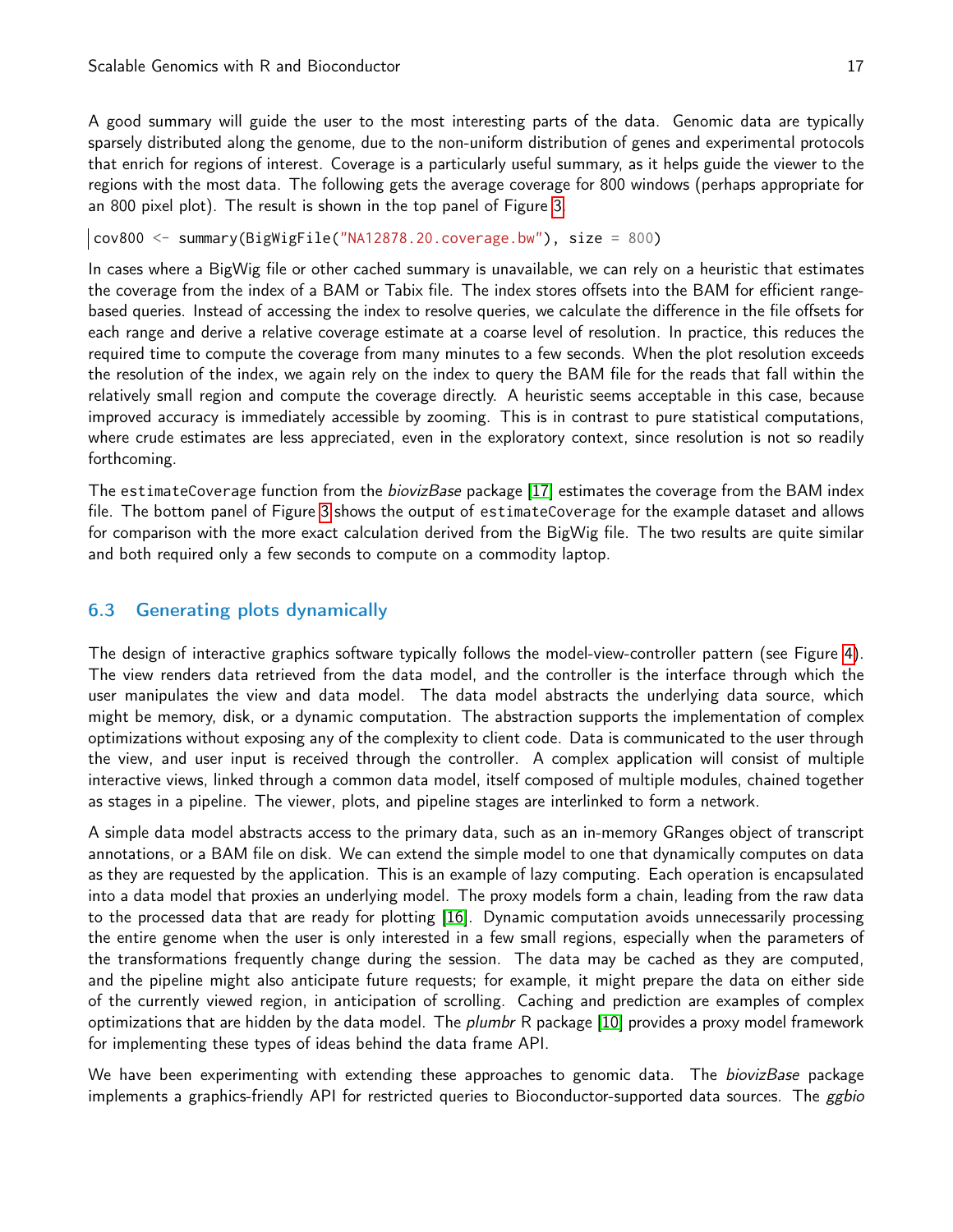A good summary will guide the user to the most interesting parts of the data. Genomic data are typically sparsely distributed along the genome, due to the non-uniform distribution of genes and experimental protocols that enrich for regions of interest. Coverage is a particularly useful summary, as it helps guide the viewer to the regions with the most data. The following gets the average coverage for 800 windows (perhaps appropriate for an 800 pixel plot). The result is shown in the top panel of Figure [3.](#page-15-1)

cov800 <- summary(BigWigFile("NA12878.20.coverage.bw"), size = 800)

In cases where a BigWig file or other cached summary is unavailable, we can rely on a heuristic that estimates the coverage from the index of a BAM or Tabix file. The index stores offsets into the BAM for efficient rangebased queries. Instead of accessing the index to resolve queries, we calculate the difference in the file offsets for each range and derive a relative coverage estimate at a coarse level of resolution. In practice, this reduces the required time to compute the coverage from many minutes to a few seconds. When the plot resolution exceeds the resolution of the index, we again rely on the index to query the BAM file for the reads that fall within the relatively small region and compute the coverage directly. A heuristic seems acceptable in this case, because improved accuracy is immediately accessible by zooming. This is in contrast to pure statistical computations, where crude estimates are less appreciated, even in the exploratory context, since resolution is not so readily forthcoming.

The estimateCoverage function from the *biovizBase* package [\[17\]](#page-20-4) estimates the coverage from the BAM index file. The bottom panel of Figure [3](#page-15-1) shows the output of estimateCoverage for the example dataset and allows for comparison with the more exact calculation derived from the BigWig file. The two results are quite similar and both required only a few seconds to compute on a commodity laptop.

### <span id="page-16-0"></span>6.3 Generating plots dynamically

The design of interactive graphics software typically follows the model-view-controller pattern (see Figure [4\)](#page-17-0). The view renders data retrieved from the data model, and the controller is the interface through which the user manipulates the view and data model. The data model abstracts the underlying data source, which might be memory, disk, or a dynamic computation. The abstraction supports the implementation of complex optimizations without exposing any of the complexity to client code. Data is communicated to the user through the view, and user input is received through the controller. A complex application will consist of multiple interactive views, linked through a common data model, itself composed of multiple modules, chained together as stages in a pipeline. The viewer, plots, and pipeline stages are interlinked to form a network.

A simple data model abstracts access to the primary data, such as an in-memory GRanges object of transcript annotations, or a BAM file on disk. We can extend the simple model to one that dynamically computes on data as they are requested by the application. This is an example of lazy computing. Each operation is encapsulated into a data model that proxies an underlying model. The proxy models form a chain, leading from the raw data to the processed data that are ready for plotting [\[16\]](#page-20-5). Dynamic computation avoids unnecessarily processing the entire genome when the user is only interested in a few small regions, especially when the parameters of the transformations frequently change during the session. The data may be cached as they are computed, and the pipeline might also anticipate future requests; for example, it might prepare the data on either side of the currently viewed region, in anticipation of scrolling. Caching and prediction are examples of complex optimizations that are hidden by the data model. The *plumbr* R package [\[10\]](#page-19-9) provides a proxy model framework for implementing these types of ideas behind the data frame API.

We have been experimenting with extending these approaches to genomic data. The *biovizBase* package implements a graphics-friendly API for restricted queries to Bioconductor-supported data sources. The *ggbio*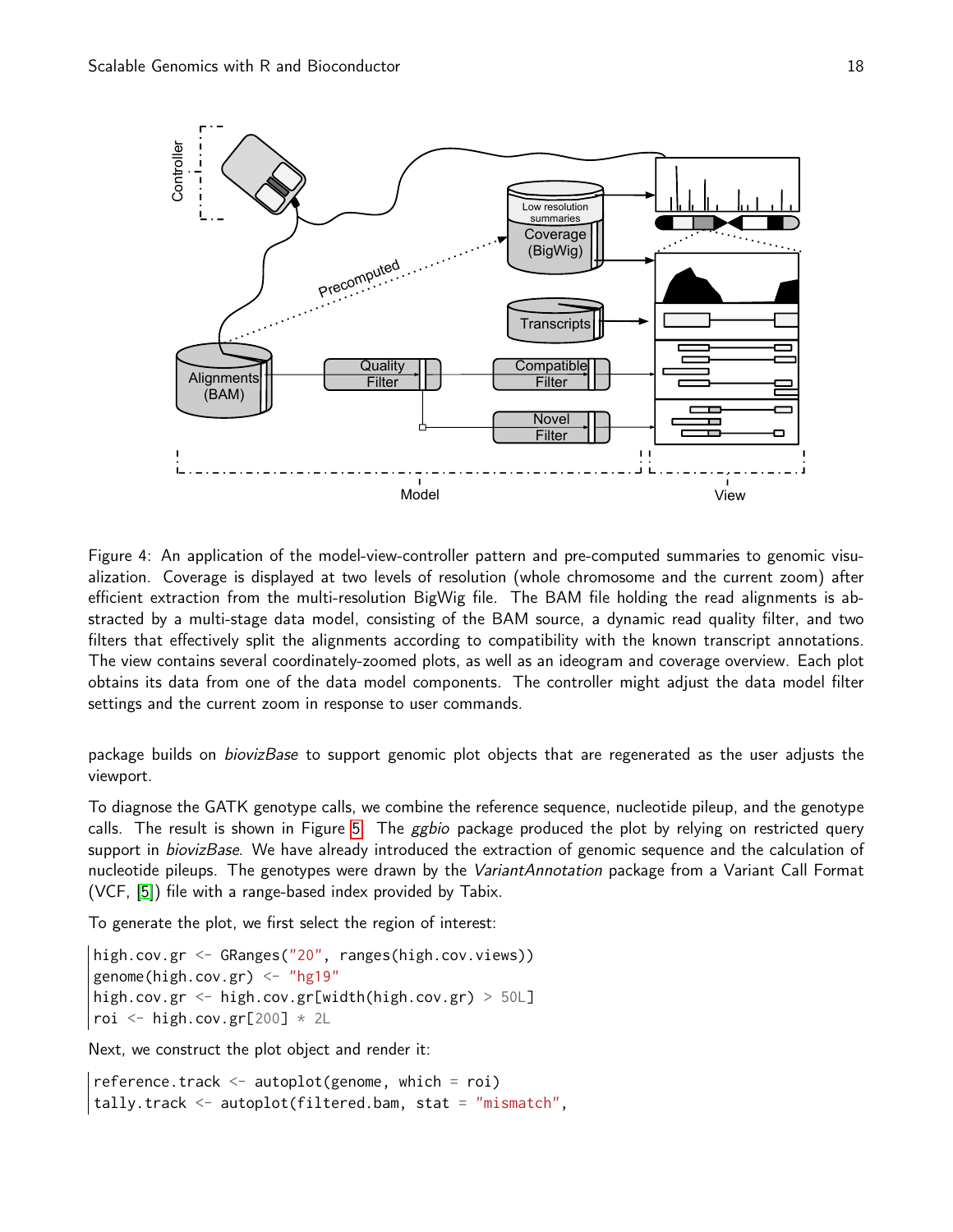

<span id="page-17-0"></span>Figure 4: An application of the model-view-controller pattern and pre-computed summaries to genomic visualization. Coverage is displayed at two levels of resolution (whole chromosome and the current zoom) after efficient extraction from the multi-resolution BigWig file. The BAM file holding the read alignments is abstracted by a multi-stage data model, consisting of the BAM source, a dynamic read quality filter, and two filters that effectively split the alignments according to compatibility with the known transcript annotations. The view contains several coordinately-zoomed plots, as well as an ideogram and coverage overview. Each plot obtains its data from one of the data model components. The controller might adjust the data model filter settings and the current zoom in response to user commands.

package builds on *biovizBase* to support genomic plot objects that are regenerated as the user adjusts the viewport.

To diagnose the GATK genotype calls, we combine the reference sequence, nucleotide pileup, and the genotype calls. The result is shown in Figure [5.](#page-18-1) The *ggbio* package produced the plot by relying on restricted query support in *biovizBase*. We have already introduced the extraction of genomic sequence and the calculation of nucleotide pileups. The genotypes were drawn by the VariantAnnotation package from a Variant Call Format (VCF, [\[5\]](#page-19-10)) file with a range-based index provided by Tabix.

To generate the plot, we first select the region of interest:

```
high.cov.gr <- GRanges("20", ranges(high.cov.views))
genome(high.cov.gr) <- "hg19"
high.cov.gr <- high.cov.gr[width(high.cov.gr) > 50L]
roi \le high.cov.gr[200] \star 2L
```
Next, we construct the plot object and render it:

reference.track  $\leq$  autoplot(genome, which = roi) tally.track  $\leq$  autoplot(filtered.bam, stat = "mismatch",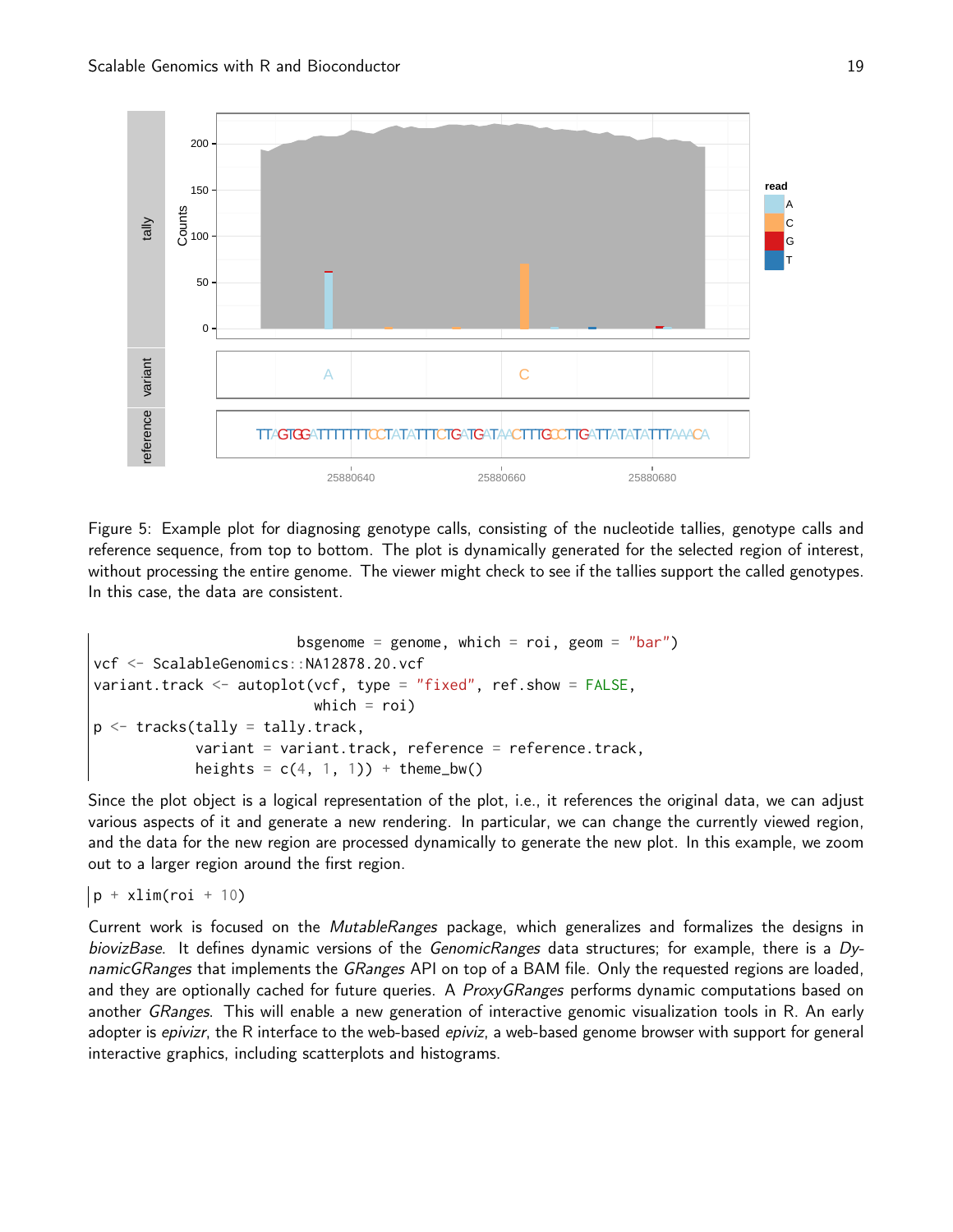

<span id="page-18-1"></span>Figure 5: Example plot for diagnosing genotype calls, consisting of the nucleotide tallies, genotype calls and reference sequence, from top to bottom. The plot is dynamically generated for the selected region of interest, without processing the entire genome. The viewer might check to see if the tallies support the called genotypes. In this case, the data are consistent.

```
bsgenome = genome, which = roi, geom = "bar")
vcf <- ScalableGenomics::NA12878.20.vcf
variant.track \leq autoplot(vcf, type = "fixed", ref.show = FALSE,
                           which = roi)
p \leftarrow tracks(tally = tally.track,
            variant = variant.track, reference = reference.track,
            heights = c(4, 1, 1) + theme_bw()
```
Since the plot object is a logical representation of the plot, i.e., it references the original data, we can adjust various aspects of it and generate a new rendering. In particular, we can change the currently viewed region, and the data for the new region are processed dynamically to generate the new plot. In this example, we zoom out to a larger region around the first region.

 $|p + xlim(roi + 10)$ 

<span id="page-18-0"></span>Current work is focused on the *MutableRanges* package, which generalizes and formalizes the designs in biovizBase. It defines dynamic versions of the GenomicRanges data structures; for example, there is a DynamicGRanges that implements the GRanges API on top of a BAM file. Only the requested regions are loaded, and they are optionally cached for future queries. A ProxyGRanges performs dynamic computations based on another GRanges. This will enable a new generation of interactive genomic visualization tools in R. An early adopter is *epivizr*, the R interface to the web-based *epiviz*, a web-based genome browser with support for general interactive graphics, including scatterplots and histograms.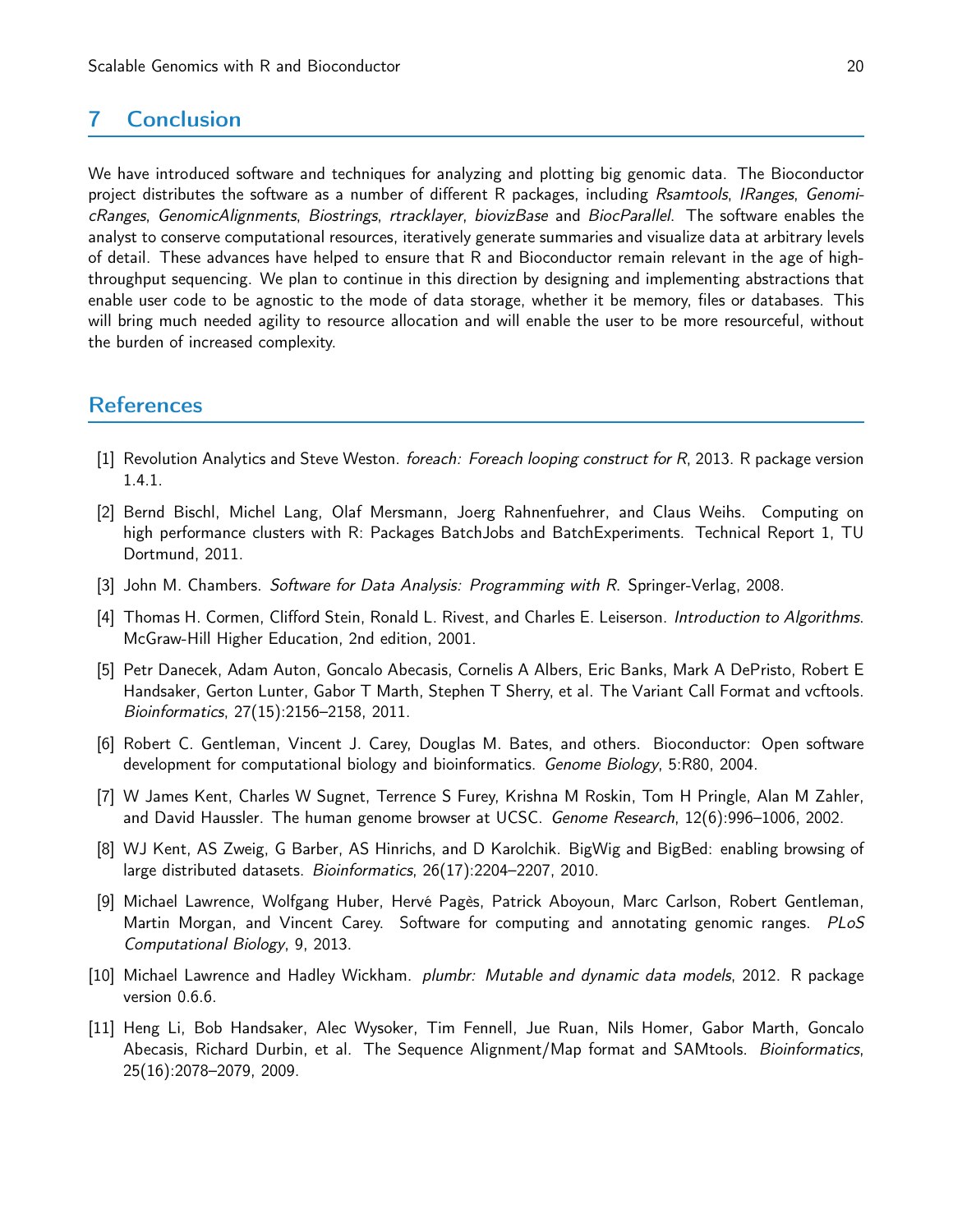### 7 Conclusion

We have introduced software and techniques for analyzing and plotting big genomic data. The Bioconductor project distributes the software as a number of different R packages, including Rsamtools, IRanges, GenomicRanges, GenomicAlignments, Biostrings, rtracklayer, biovizBase and BiocParallel. The software enables the analyst to conserve computational resources, iteratively generate summaries and visualize data at arbitrary levels of detail. These advances have helped to ensure that R and Bioconductor remain relevant in the age of highthroughput sequencing. We plan to continue in this direction by designing and implementing abstractions that enable user code to be agnostic to the mode of data storage, whether it be memory, files or databases. This will bring much needed agility to resource allocation and will enable the user to be more resourceful, without the burden of increased complexity.

# **References**

- <span id="page-19-7"></span>[1] Revolution Analytics and Steve Weston. *foreach: Foreach looping construct for R*, 2013. R package version 1.4.1.
- <span id="page-19-8"></span>[2] Bernd Bischl, Michel Lang, Olaf Mersmann, Joerg Rahnenfuehrer, and Claus Weihs. Computing on high performance clusters with R: Packages BatchJobs and BatchExperiments. Technical Report 1, TU Dortmund, 2011.
- <span id="page-19-4"></span>[3] John M. Chambers. *Software for Data Analysis: Programming with R. Springer-Verlag, 2008.*
- <span id="page-19-5"></span>[4] Thomas H. Cormen, Clifford Stein, Ronald L. Rivest, and Charles E. Leiserson. Introduction to Algorithms. McGraw-Hill Higher Education, 2nd edition, 2001.
- <span id="page-19-10"></span>[5] Petr Danecek, Adam Auton, Goncalo Abecasis, Cornelis A Albers, Eric Banks, Mark A DePristo, Robert E Handsaker, Gerton Lunter, Gabor T Marth, Stephen T Sherry, et al. The Variant Call Format and vcftools. Bioinformatics, 27(15):2156–2158, 2011.
- <span id="page-19-1"></span>[6] Robert C. Gentleman, Vincent J. Carey, Douglas M. Bates, and others. Bioconductor: Open software development for computational biology and bioinformatics. Genome Biology, 5:R80, 2004.
- <span id="page-19-6"></span>[7] W James Kent, Charles W Sugnet, Terrence S Furey, Krishna M Roskin, Tom H Pringle, Alan M Zahler, and David Haussler. The human genome browser at UCSC. Genome Research, 12(6):996–1006, 2002.
- <span id="page-19-3"></span>[8] WJ Kent, AS Zweig, G Barber, AS Hinrichs, and D Karolchik. BigWig and BigBed: enabling browsing of large distributed datasets. Bioinformatics, 26(17):2204–2207, 2010.
- <span id="page-19-0"></span>[9] Michael Lawrence, Wolfgang Huber, Hervé Pagès, Patrick Aboyoun, Marc Carlson, Robert Gentleman, Martin Morgan, and Vincent Carey. Software for computing and annotating genomic ranges. PLoS Computational Biology, 9, 2013.
- <span id="page-19-9"></span>[10] Michael Lawrence and Hadley Wickham. plumbr: Mutable and dynamic data models, 2012. R package version 0.6.6.
- <span id="page-19-2"></span>[11] Heng Li, Bob Handsaker, Alec Wysoker, Tim Fennell, Jue Ruan, Nils Homer, Gabor Marth, Goncalo Abecasis, Richard Durbin, et al. The Sequence Alignment/Map format and SAMtools. *Bioinformatics*, 25(16):2078–2079, 2009.